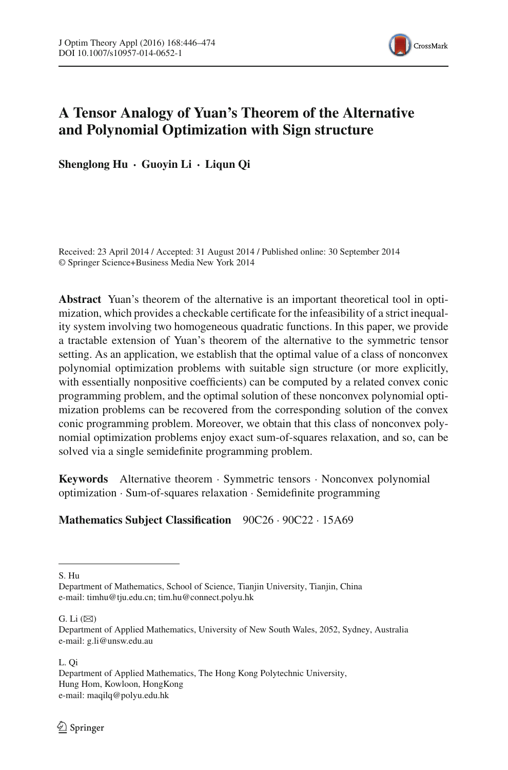

# **A Tensor Analogy of Yuan's Theorem of the Alternative and Polynomial Optimization with Sign structure**

**Shenglong Hu · Guoyin Li · Liqun Qi**

Received: 23 April 2014 / Accepted: 31 August 2014 / Published online: 30 September 2014 © Springer Science+Business Media New York 2014

**Abstract** Yuan's theorem of the alternative is an important theoretical tool in optimization, which provides a checkable certificate for the infeasibility of a strict inequality system involving two homogeneous quadratic functions. In this paper, we provide a tractable extension of Yuan's theorem of the alternative to the symmetric tensor setting. As an application, we establish that the optimal value of a class of nonconvex polynomial optimization problems with suitable sign structure (or more explicitly, with essentially nonpositive coefficients) can be computed by a related convex conic programming problem, and the optimal solution of these nonconvex polynomial optimization problems can be recovered from the corresponding solution of the convex conic programming problem. Moreover, we obtain that this class of nonconvex polynomial optimization problems enjoy exact sum-of-squares relaxation, and so, can be solved via a single semidefinite programming problem.

**Keywords** Alternative theorem · Symmetric tensors · Nonconvex polynomial optimization · Sum-of-squares relaxation · Semidefinite programming

**Mathematics Subject Classification** 90C26 · 90C22 · 15A69

S. Hu

 $G. Li (\boxtimes)$ 

L. Qi

Department of Applied Mathematics, The Hong Kong Polytechnic University, Hung Hom, Kowloon, HongKong e-mail: maqilq@polyu.edu.hk

Department of Mathematics, School of Science, Tianjin University, Tianjin, China e-mail: timhu@tju.edu.cn; tim.hu@connect.polyu.hk

Department of Applied Mathematics, University of New South Wales, 2052, Sydney, Australia e-mail: g.li@unsw.edu.au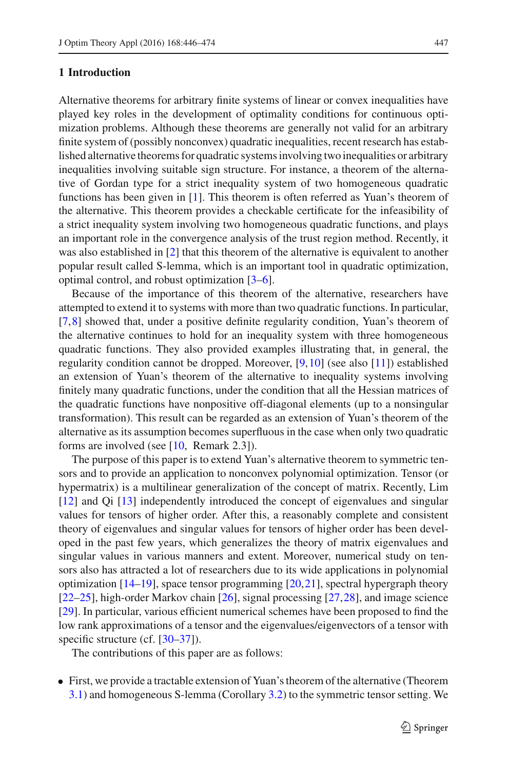# **1 Introduction**

Alternative theorems for arbitrary finite systems of linear or convex inequalities have played key roles in the development of optimality conditions for continuous optimization problems. Although these theorems are generally not valid for an arbitrary finite system of (possibly nonconvex) quadratic inequalities, recent research has established alternative theorems for quadratic systems involving two inequalities or arbitrary inequalities involving suitable sign structure. For instance, a theorem of the alternative of Gordan type for a strict inequality system of two homogeneous quadratic functions has been given in [\[1\]](#page-26-0). This theorem is often referred as Yuan's theorem of the alternative. This theorem provides a checkable certificate for the infeasibility of a strict inequality system involving two homogeneous quadratic functions, and plays an important role in the convergence analysis of the trust region method. Recently, it was also established in [\[2\]](#page-26-1) that this theorem of the alternative is equivalent to another popular result called S-lemma, which is an important tool in quadratic optimization, optimal control, and robust optimization [\[3](#page-26-2)[–6](#page-26-3)].

Because of the importance of this theorem of the alternative, researchers have attempted to extend it to systems with more than two quadratic functions. In particular, [\[7](#page-26-4)[,8](#page-26-5)] showed that, under a positive definite regularity condition, Yuan's theorem of the alternative continues to hold for an inequality system with three homogeneous quadratic functions. They also provided examples illustrating that, in general, the regularity condition cannot be dropped. Moreover,  $[9,10]$  $[9,10]$  $[9,10]$  (see also [\[11](#page-27-2)]) established an extension of Yuan's theorem of the alternative to inequality systems involving finitely many quadratic functions, under the condition that all the Hessian matrices of the quadratic functions have nonpositive off-diagonal elements (up to a nonsingular transformation). This result can be regarded as an extension of Yuan's theorem of the alternative as its assumption becomes superfluous in the case when only two quadratic forms are involved (see [\[10,](#page-27-1) Remark 2.3]).

The purpose of this paper is to extend Yuan's alternative theorem to symmetric tensors and to provide an application to nonconvex polynomial optimization. Tensor (or hypermatrix) is a multilinear generalization of the concept of matrix. Recently, Lim [\[12](#page-27-3)] and Qi [\[13\]](#page-27-4) independently introduced the concept of eigenvalues and singular values for tensors of higher order. After this, a reasonably complete and consistent theory of eigenvalues and singular values for tensors of higher order has been developed in the past few years, which generalizes the theory of matrix eigenvalues and singular values in various manners and extent. Moreover, numerical study on tensors also has attracted a lot of researchers due to its wide applications in polynomial optimization  $[14–19]$  $[14–19]$ , space tensor programming  $[20,21]$  $[20,21]$ , spectral hypergraph theory [\[22](#page-27-9)[–25\]](#page-27-10), high-order Markov chain [\[26\]](#page-27-11), signal processing [\[27](#page-27-12)[,28](#page-27-13)], and image science [\[29](#page-27-14)]. In particular, various efficient numerical schemes have been proposed to find the low rank approximations of a tensor and the eigenvalues/eigenvectors of a tensor with specific structure (cf. [\[30](#page-27-15)[–37](#page-28-0)]).

The contributions of this paper are as follows:

• First, we provide a tractable extension of Yuan's theorem of the alternative (Theorem [3.1\)](#page-10-0) and homogeneous S-lemma (Corollary [3.2\)](#page-13-0) to the symmetric tensor setting. We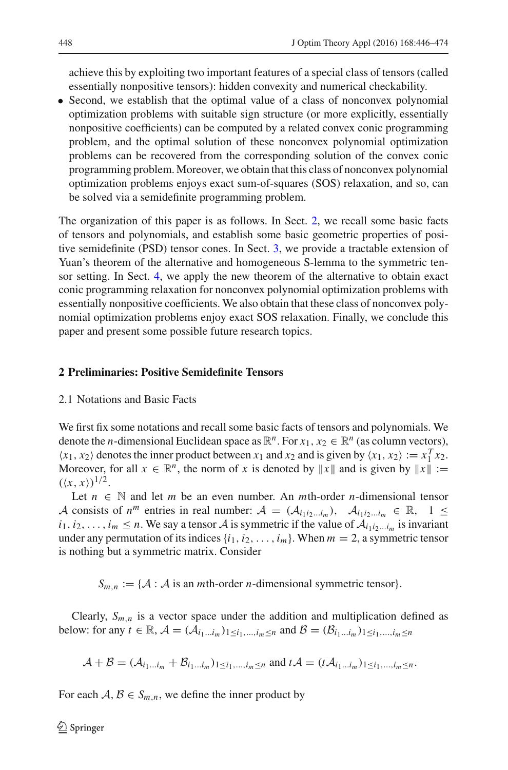achieve this by exploiting two important features of a special class of tensors (called essentially nonpositive tensors): hidden convexity and numerical checkability.

• Second, we establish that the optimal value of a class of nonconvex polynomial optimization problems with suitable sign structure (or more explicitly, essentially nonpositive coefficients) can be computed by a related convex conic programming problem, and the optimal solution of these nonconvex polynomial optimization problems can be recovered from the corresponding solution of the convex conic programming problem. Moreover, we obtain that this class of nonconvex polynomial optimization problems enjoys exact sum-of-squares (SOS) relaxation, and so, can be solved via a semidefinite programming problem.

The organization of this paper is as follows. In Sect. [2,](#page-2-0) we recall some basic facts of tensors and polynomials, and establish some basic geometric properties of positive semidefinite (PSD) tensor cones. In Sect. [3,](#page-7-0) we provide a tractable extension of Yuan's theorem of the alternative and homogeneous S-lemma to the symmetric tensor setting. In Sect. [4,](#page-15-0) we apply the new theorem of the alternative to obtain exact conic programming relaxation for nonconvex polynomial optimization problems with essentially nonpositive coefficients. We also obtain that these class of nonconvex polynomial optimization problems enjoy exact SOS relaxation. Finally, we conclude this paper and present some possible future research topics.

## <span id="page-2-0"></span>**2 Preliminaries: Positive Semidefinite Tensors**

#### 2.1 Notations and Basic Facts

We first fix some notations and recall some basic facts of tensors and polynomials. We denote the *n*-dimensional Euclidean space as  $\mathbb{R}^n$ . For  $x_1, x_2 \in \mathbb{R}^n$  (as column vectors),  $\langle x_1, x_2 \rangle$  denotes the inner product between  $x_1$  and  $x_2$  and is given by  $\langle x_1, x_2 \rangle := x_1^T x_2$ . Moreover, for all  $x \in \mathbb{R}^n$ , the norm of x is denoted by  $||x||$  and is given by  $||x|| :=$  $(\langle x, x \rangle)^{1/2}$ .

Let  $n \in \mathbb{N}$  and let *m* be an even number. An *m*th-order *n*-dimensional tensor *A* consists of *n*<sup>*m*</sup> entries in real number:  $A = (A_{i_1 i_2...i_m})$ ,  $A_{i_1 i_2...i_m} \in \mathbb{R}$ ,  $1 \leq$  $i_1, i_2, \ldots, i_m \leq n$ . We say a tensor *A* is symmetric if the value of  $A_{i_1 i_2 \ldots i_m}$  is invariant under any permutation of its indices  $\{i_1, i_2, \ldots, i_m\}$ . When  $m = 2$ , a symmetric tensor is nothing but a symmetric matrix. Consider

 $S_{m,n} := \{A : A \text{ is an } m\text{th-order } n\text{-dimensional symmetric tensor}\}.$ 

Clearly,  $S_{m,n}$  is a vector space under the addition and multiplication defined as below: for any  $t \in \mathbb{R}$ ,  $\mathcal{A} = (\mathcal{A}_{i_1...i_m})_{1 \le i_1,...,i_m \le n}$  and  $\mathcal{B} = (\mathcal{B}_{i_1...i_m})_{1 \le i_1,...,i_m \le n}$ 

$$
\mathcal{A} + \mathcal{B} = (\mathcal{A}_{i_1...i_m} + \mathcal{B}_{i_1...i_m})_{1 \leq i_1,...,i_m \leq n} \text{ and } t\mathcal{A} = (t\mathcal{A}_{i_1...i_m})_{1 \leq i_1,...,i_m \leq n}.
$$

For each  $A, B \in S_{m,n}$ , we define the inner product by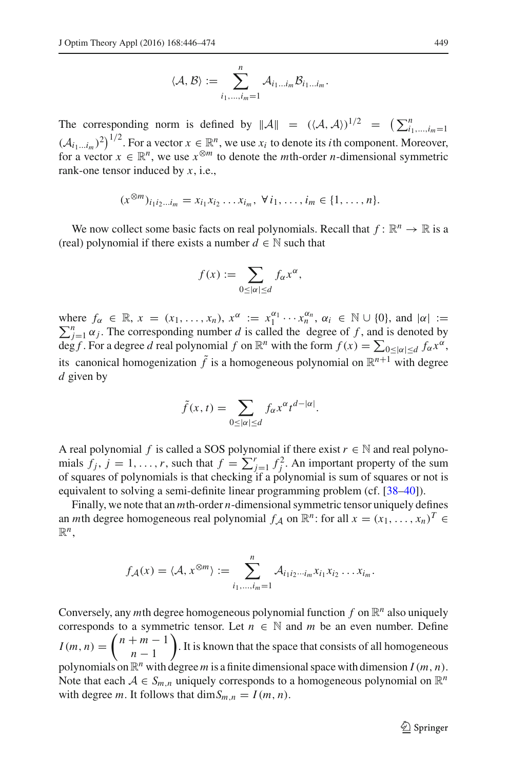$$
\langle A, B \rangle := \sum_{i_1, \dots, i_m = 1}^n A_{i_1 \dots i_m} B_{i_1 \dots i_m}.
$$

The corresponding norm is defined by  $||A|| = (\langle A, A \rangle)^{1/2} = (\sum_{i=1}^n a_{i} - a_{i})^{1/2}$  $i_1, \ldots, i_m = 1$  $(A_{i_1...i_m})^2$ <sup>1/2</sup>. For a vector  $x \in \mathbb{R}^n$ , we use  $x_i$  to denote its *i*th component. Moreover, for a vector  $x \in \mathbb{R}^n$ , we use  $x^{\otimes m}$  to denote the *m*th-order *n*-dimensional symmetric rank-one tensor induced by *x*, i.e.,

$$
(x^{\otimes m})_{i_1i_2...i_m} = x_{i_1}x_{i_2}...x_{i_m}, \forall i_1,...,i_m \in \{1,...,n\}.
$$

We now collect some basic facts on real polynomials. Recall that  $f: \mathbb{R}^n \to \mathbb{R}$  is a (real) polynomial if there exists a number  $d \in \mathbb{N}$  such that

$$
f(x) := \sum_{0 \leq |\alpha| \leq d} f_{\alpha} x^{\alpha},
$$

where  $f_{\alpha} \in \mathbb{R}$ ,  $x = (x_1, ..., x_n)$ ,  $x^{\alpha} := x_1^{\alpha_1} \cdots x_n^{\alpha_n}$ ,  $\alpha_i \in \mathbb{N} \cup \{0\}$ , and  $|\alpha| := \sum_{j=1}^n \alpha_j$ . The corresponding number d is called the degree of f, and is denoted by  $\deg f$ . For a degree *d* real polynomial *f* on  $\mathbb{R}^n$  with the form  $f(x) = \sum_{0 \le |\alpha| \le d} f_\alpha x^\alpha$ , its canonical homogenization  $\tilde{f}$  is a homogeneous polynomial on  $\mathbb{R}^{n+1}$  with degree *d* given by

$$
\tilde{f}(x,t) = \sum_{0 \leq |\alpha| \leq d} f_{\alpha} x^{\alpha} t^{d - |\alpha|}.
$$

A real polynomial *f* is called a SOS polynomial if there exist  $r \in \mathbb{N}$  and real polynomials  $f_j$ ,  $j = 1, ..., r$ , such that  $f = \sum_{j=1}^r f_j^2$ . An important property of the sum of squares of polynomials is that checking if a polynomial is sum of squares or not is equivalent to solving a semi-definite linear programming problem (cf. [\[38](#page-28-1)[–40\]](#page-28-2)).

Finally, we note that an *m*th-order *n*-dimensional symmetric tensor uniquely defines an *m*th degree homogeneous real polynomial  $f_A$  on  $\mathbb{R}^n$ : for all  $x = (x_1, \ldots, x_n)^T \in$ R*n*,

$$
f_{\mathcal{A}}(x) = \langle \mathcal{A}, x^{\otimes m} \rangle := \sum_{i_1, \dots, i_m=1}^n \mathcal{A}_{i_1 i_2 \cdots i_m} x_{i_1} x_{i_2} \dots x_{i_m}.
$$

Conversely, any *m*th degree homogeneous polynomial function  $f$  on  $\mathbb{R}^n$  also uniquely corresponds to a symmetric tensor. Let  $n \in \mathbb{N}$  and  $m$  be an even number. Define  $I(m, n) = {n + m - 1 \choose n - 1}$ *n* − 1 . It is known that the space that consists of all homogeneous polynomials on  $\mathbb{R}^n$  with degree *m* is a finite dimensional space with dimension  $I(m, n)$ . Note that each  $A \in S_{m,n}$  uniquely corresponds to a homogeneous polynomial on  $\mathbb{R}^n$ with degree *m*. It follows that  $\dim S_{m,n} = I(m, n)$ .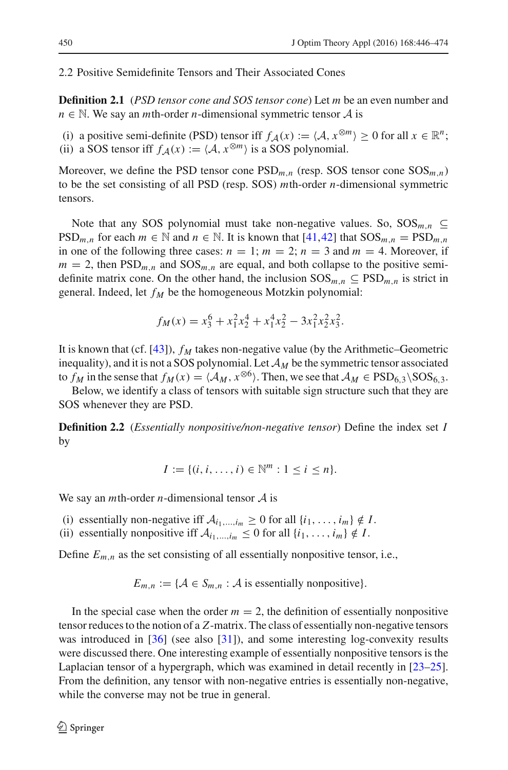## 2.2 Positive Semidefinite Tensors and Their Associated Cones

**Definition 2.1** (*PSD tensor cone and SOS tensor cone*) Let *m* be an even number and  $n \in \mathbb{N}$ . We say an *m*th-order *n*-dimensional symmetric tensor A is

(i) a positive semi-definite (PSD) tensor iff  $f_A(x) := \langle A, x^{\otimes m} \rangle \ge 0$  for all  $x \in \mathbb{R}^n$ ; (ii) a SOS tensor iff  $f_A(x) := \langle A, x^{\otimes m} \rangle$  is a SOS polynomial.

Moreover, we define the PSD tensor cone  $PSD_{m,n}$  (resp. SOS tensor cone  $SOS_{m,n}$ ) to be the set consisting of all PSD (resp. SOS) *m*th-order *n*-dimensional symmetric tensors.

Note that any SOS polynomial must take non-negative values. So,  $SOS_{m,n} \subseteq$  $PSD_{m,n}$  for each  $m \in \mathbb{N}$  and  $n \in \mathbb{N}$ . It is known that  $[41, 42]$  $[41, 42]$  that  $SOS_{m,n} = PSD_{m,n}$ in one of the following three cases:  $n = 1$ ;  $m = 2$ ;  $n = 3$  and  $m = 4$ . Moreover, if  $m = 2$ , then  $PSD_{m,n}$  and  $SOS_{m,n}$  are equal, and both collapse to the positive semidefinite matrix cone. On the other hand, the inclusion  $SOS_{m,n} \subseteq PSD_{m,n}$  is strict in general. Indeed, let  $f_M$  be the homogeneous Motzkin polynomial:

$$
f_M(x) = x_3^6 + x_1^2 x_2^4 + x_1^4 x_2^2 - 3x_1^2 x_2^2 x_3^2.
$$

It is known that (cf.  $[43]$  $[43]$ ),  $f_M$  takes non-negative value (by the Arithmetic–Geometric inequality), and it is not a SOS polynomial. Let  $A_M$  be the symmetric tensor associated to  $f_M$  in the sense that  $f_M(x) = \langle A_M, x^{\otimes 6} \rangle$ . Then, we see that  $A_M \in \text{PSD}_{6,3} \backslash \text{SOS}_{6,3}$ .

Below, we identify a class of tensors with suitable sign structure such that they are SOS whenever they are PSD.

**Definition 2.2** (*Essentially nonpositive/non-negative tensor*) Define the index set *I* by

$$
I := \{(i, i, \dots, i) \in \mathbb{N}^m : 1 \le i \le n\}.
$$

We say an *m*th-order *n*-dimensional tensor *A* is

- (i) essentially non-negative iff  $A_{i_1,\dots,i_m} \geq 0$  for all  $\{i_1,\dots,i_m\} \notin I$ .
- (ii) essentially nonpositive iff  $A_{i_1,\dots,i_m} \leq 0$  for all  $\{i_1,\dots,i_m\} \notin I$ .

Define  $E_{m,n}$  as the set consisting of all essentially nonpositive tensor, i.e.,

 $E_{m,n} := \{ A \in S_{m,n} : A \text{ is essentially nonpositive} \}.$ 

In the special case when the order  $m = 2$ , the definition of essentially nonpositive tensor reduces to the notion of a *Z*-matrix. The class of essentially non-negative tensors was introduced in  $\left[36\right]$  $\left[36\right]$  $\left[36\right]$  (see also  $\left[31\right]$ ), and some interesting log-convexity results were discussed there. One interesting example of essentially nonpositive tensors is the Laplacian tensor of a hypergraph, which was examined in detail recently in [\[23](#page-27-18)[–25](#page-27-10)]. From the definition, any tensor with non-negative entries is essentially non-negative, while the converse may not be true in general.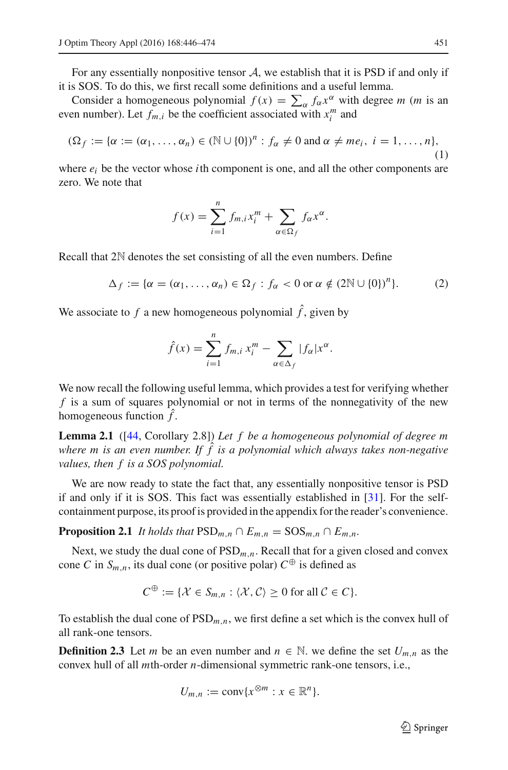For any essentially nonpositive tensor *A*, we establish that it is PSD if and only if it is SOS. To do this, we first recall some definitions and a useful lemma.

Consider a homogeneous polynomial  $f(x) = \sum_{\alpha} f_{\alpha} x^{\alpha}$  with degree *m* (*m* is an even number). Let  $f_{m,i}$  be the coefficient associated with  $x_i^m$  and

$$
(\Omega_f := {\alpha := (\alpha_1, \ldots, \alpha_n) \in (\mathbb{N} \cup \{0\})^n : f_\alpha \neq 0 \text{ and } \alpha \neq me_i, i = 1, \ldots, n\},\tag{1}
$$

where  $e_i$  be the vector whose *i*th component is one, and all the other components are zero. We note that

$$
f(x) = \sum_{i=1}^{n} f_{m,i}x_i^{m} + \sum_{\alpha \in \Omega_f} f_{\alpha}x^{\alpha}.
$$

Recall that 2N denotes the set consisting of all the even numbers. Define

 $\Delta_f := {\alpha = (\alpha_1, \dots, \alpha_n) \in \Omega_f : f_\alpha < 0 \text{ or } \alpha \notin (2\mathbb{N} \cup \{0\})^n}.$  (2)

We associate to  $f$  a new homogeneous polynomial  $\hat{f}$ , given by

$$
\hat{f}(x) = \sum_{i=1}^{n} f_{m,i} x_i^m - \sum_{\alpha \in \Delta_f} |f_{\alpha}| x^{\alpha}.
$$

We now recall the following useful lemma, which provides a test for verifying whether *f* is a sum of squares polynomial or not in terms of the nonnegativity of the new homogeneous function  $\hat{f}$ .

<span id="page-5-1"></span>**Lemma 2.1** ([\[44,](#page-28-6) Corollary 2.8]) *Let f be a homogeneous polynomial of degree m where m is an even number. If* ˆ*f is a polynomial which always takes non-negative values, then f is a SOS polynomial.*

We are now ready to state the fact that, any essentially nonpositive tensor is PSD if and only if it is SOS. This fact was essentially established in [\[31](#page-27-17)]. For the selfcontainment purpose, its proof is provided in the appendix for the reader's convenience.

<span id="page-5-0"></span>**Proposition 2.1** *It holds that*  $PSD_{m,n} \cap E_{m,n} = SOS_{m,n} \cap E_{m,n}$ .

Next, we study the dual cone of  $PSD<sub>m,n</sub>$ . Recall that for a given closed and convex cone *C* in  $S_{m,n}$ , its dual cone (or positive polar)  $C^{\oplus}$  is defined as

$$
C^{\oplus} := \{ \mathcal{X} \in S_{m,n} : \langle \mathcal{X}, \mathcal{C} \rangle \geq 0 \text{ for all } \mathcal{C} \in \mathcal{C} \}.
$$

To establish the dual cone of  $PSD_{m,n}$ , we first define a set which is the convex hull of all rank-one tensors.

**Definition 2.3** Let *m* be an even number and  $n \in \mathbb{N}$ . we define the set  $U_{m,n}$  as the convex hull of all *m*th-order *n*-dimensional symmetric rank-one tensors, i.e.,

$$
U_{m,n} := \text{conv}\{x^{\otimes m} : x \in \mathbb{R}^n\}.
$$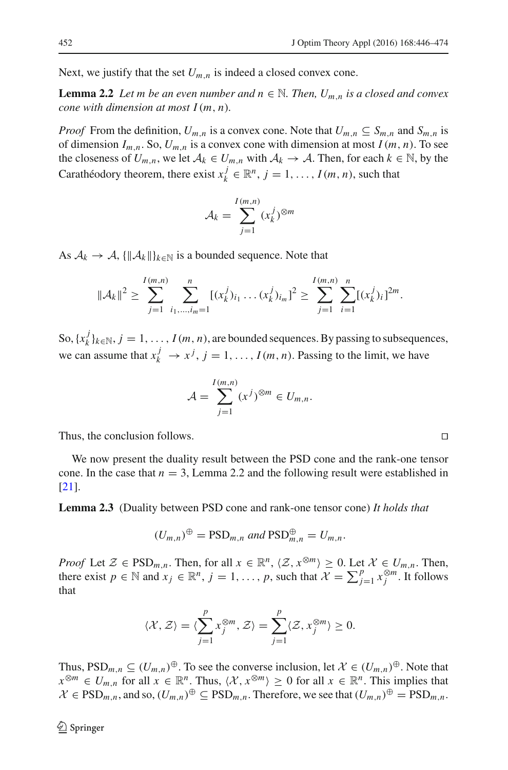Next, we justify that the set  $U_{m,n}$  is indeed a closed convex cone.

**Lemma 2.2** *Let m be an even number and n*  $\in$  *N. Then, U<sub>mn</sub> is a closed and convex cone with dimension at most I*(*m*, *n*)*.*

*Proof* From the definition,  $U_{m,n}$  is a convex cone. Note that  $U_{m,n} \subseteq S_{m,n}$  and  $S_{m,n}$  is of dimension  $I_{m,n}$ . So,  $U_{m,n}$  is a convex cone with dimension at most  $I(m, n)$ . To see the closeness of  $U_{m,n}$ , we let  $\mathcal{A}_k \in U_{m,n}$  with  $\mathcal{A}_k \to \mathcal{A}$ . Then, for each  $k \in \mathbb{N}$ , by the Carathéodory theorem, there exist  $x_k^j \in \mathbb{R}^n$ ,  $j = 1, ..., I(m, n)$ , such that

$$
\mathcal{A}_k = \sum_{j=1}^{I(m,n)} (x_k^j)^{\otimes m}
$$

As  $A_k \to A$ ,  $\{\|\mathcal{A}_k\|\}_{k \in \mathbb{N}}$  is a bounded sequence. Note that

$$
||A_k||^2 \geq \sum_{j=1}^{I(m,n)} \sum_{i_1,\dots,i_m=1}^n [(x_k^j)_{i_1} \dots (x_k^j)_{i_m}]^2 \geq \sum_{j=1}^{I(m,n)} \sum_{i=1}^n [(x_k^j)_{i_1}]^{2m}.
$$

So,  $\{x_k^j\}_{k \in \mathbb{N}}, j = 1, \ldots, I(m, n)$ , are bounded sequences. By passing to subsequences, we can assume that  $x_k^j \to x^j$ ,  $j = 1, ..., I(m, n)$ . Passing to the limit, we have

$$
\mathcal{A} = \sum_{j=1}^{I(m,n)} (x^j)^{\otimes m} \in U_{m,n}.
$$

Thus, the conclusion follows.

We now present the duality result between the PSD cone and the rank-one tensor cone. In the case that  $n = 3$ , Lemma 2.2 and the following result were established in [\[21](#page-27-8)].

**Lemma 2.3** (Duality between PSD cone and rank-one tensor cone) *It holds that*

$$
(U_{m,n})^{\oplus} = \text{PSD}_{m,n} \text{ and } \text{PSD}_{m,n}^{\oplus} = U_{m,n}.
$$

*Proof* Let  $\mathcal{Z} \in \text{PSD}_{m,n}$ . Then, for all  $x \in \mathbb{R}^n$ ,  $\langle \mathcal{Z}, x^{\otimes m} \rangle \geq 0$ . Let  $\mathcal{X} \in U_{m,n}$ . Then, there exist  $p \in \mathbb{N}$  and  $x_j \in \mathbb{R}^n$ ,  $j = 1, ..., p$ , such that  $\mathcal{X} = \sum_{j=1}^p x_j^{\otimes m}$ . It follows that

$$
\langle \mathcal{X}, \mathcal{Z} \rangle = \langle \sum_{j=1}^p x_j^{\otimes m}, \mathcal{Z} \rangle = \sum_{j=1}^p \langle \mathcal{Z}, x_j^{\otimes m} \rangle \ge 0.
$$

Thus,  $PSD_{m,n} \subseteq (U_{m,n})^{\oplus}$ . To see the converse inclusion, let  $\mathcal{X} \in (U_{m,n})^{\oplus}$ . Note that  $x^{\otimes m} \in U_{m,n}$  for all  $x \in \mathbb{R}^n$ . Thus,  $\langle \mathcal{X}, x^{\otimes m} \rangle \geq 0$  for all  $x \in \mathbb{R}^n$ . This implies that  $\mathcal{X} \in \text{PSD}_{m,n}$ , and so,  $(U_{m,n})^{\oplus} \subseteq \text{PSD}_{m,n}$ . Therefore, we see that  $(U_{m,n})^{\oplus} = \text{PSD}_{m,n}$ .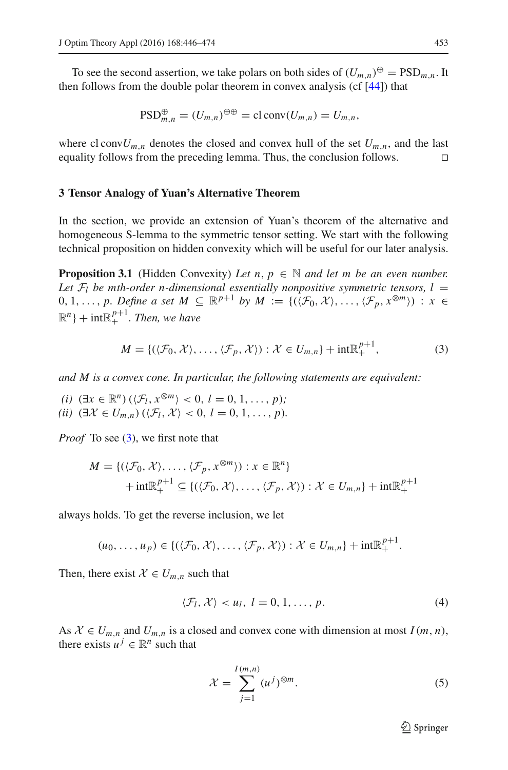To see the second assertion, we take polars on both sides of  $(U_{m,n})^{\oplus} = \text{PSD}_{m,n}$ . It then follows from the double polar theorem in convex analysis (cf [\[44\]](#page-28-6)) that

$$
\text{PSD}_{m,n}^{\oplus} = (U_{m,n})^{\oplus \oplus} = \text{cl conv}(U_{m,n}) = U_{m,n},
$$

where cl conv $U_{m,n}$  denotes the closed and convex hull of the set  $U_{m,n}$ , and the last equality follows from the preceding lemma. Thus, the conclusion follows.  $\Box$ 

#### <span id="page-7-0"></span>**3 Tensor Analogy of Yuan's Alternative Theorem**

In the section, we provide an extension of Yuan's theorem of the alternative and homogeneous S-lemma to the symmetric tensor setting. We start with the following technical proposition on hidden convexity which will be useful for our later analysis.

<span id="page-7-4"></span>**Proposition 3.1** (Hidden Convexity) *Let n, p*  $\in$  *N and let m be an even number.* Let  $\mathcal{F}_l$  be mth-order n-dimensional essentially nonpositive symmetric tensors,  $l =$ 0, 1,..., *p. Define a set M*  $\subseteq \mathbb{R}^{p+1}$  *by M*  $:= \{(\langle \mathcal{F}_0, \mathcal{X} \rangle, \ldots, \langle \mathcal{F}_p, x^{\otimes m} \rangle) : x \in$  $\mathbb{R}^n$  +  $\text{int} \mathbb{R}^{p+1}$ *. Then, we have* 

$$
M = \{ (\langle \mathcal{F}_0, \mathcal{X} \rangle, \dots, \langle \mathcal{F}_p, \mathcal{X} \rangle) : \mathcal{X} \in U_{m,n} \} + \text{int} \mathbb{R}^{p+1}_+, \tag{3}
$$

<span id="page-7-1"></span>*and M is a convex cone. In particular, the following statements are equivalent:*

*(i)*  $(\exists x \in \mathbb{R}^n)$   $(\langle \mathcal{F}_l, x^{\otimes m} \rangle < 0, l = 0, 1, \ldots, p)$ *;* (*ii*)  $(\exists \mathcal{X} \in U_{m,n})$  ( $\langle \mathcal{F}_l, \mathcal{X} \rangle$  < 0, *l* = 0, 1, ..., *p*).

*Proof* To see [\(3\)](#page-7-1), we first note that

$$
M = \{ (\langle \mathcal{F}_0, \mathcal{X} \rangle, \dots, \langle \mathcal{F}_p, x^{\otimes m} \rangle) : x \in \mathbb{R}^n \}
$$
  
+ 
$$
int \mathbb{R}^{p+1}_+ \subseteq \{ (\langle \mathcal{F}_0, \mathcal{X} \rangle, \dots, \langle \mathcal{F}_p, \mathcal{X} \rangle) : \mathcal{X} \in U_{m,n} \} + int \mathbb{R}^{p+1}_+
$$

always holds. To get the reverse inclusion, we let

$$
(u_0,\ldots,u_p)\in\{(\langle\mathcal{F}_0,\mathcal{X}\rangle,\ldots,\langle\mathcal{F}_p,\mathcal{X}\rangle):\mathcal{X}\in U_{m,n}\}+\mathrm{int}\mathbb{R}^{p+1}_+.
$$

<span id="page-7-3"></span>Then, there exist  $\mathcal{X} \in U_{m,n}$  such that

$$
\langle \mathcal{F}_l, \mathcal{X} \rangle < u_l, \ l = 0, 1, \dots, p. \tag{4}
$$

<span id="page-7-2"></span>As  $X \in U_{m,n}$  and  $U_{m,n}$  is a closed and convex cone with dimension at most  $I(m, n)$ , there exists  $u^j \in \mathbb{R}^n$  such that

$$
\mathcal{X} = \sum_{j=1}^{I(m,n)} (u^j)^{\otimes m}.
$$
 (5)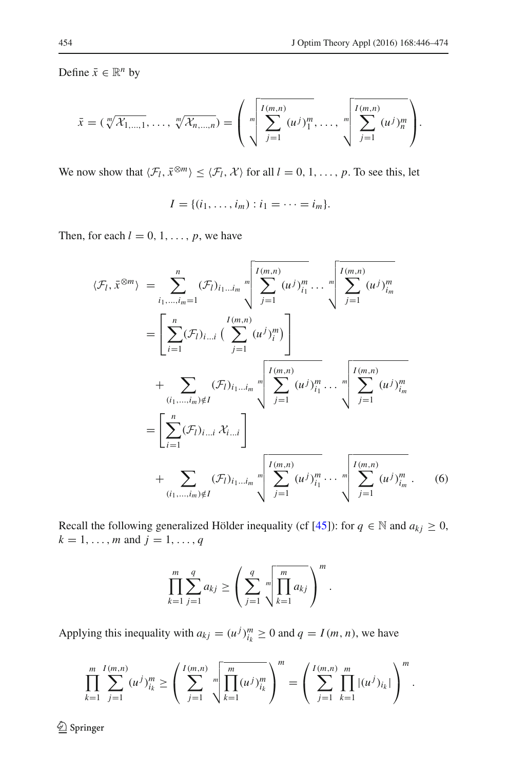Define  $\bar{x} \in \mathbb{R}^n$  by

$$
\bar{x} = (\sqrt[m]{\mathcal{X}_{1,...,1}}, \ldots, \sqrt[m]{\mathcal{X}_{n,...,n}}) = \left( \sqrt[m]{\sum_{j=1}^{I(m,n)} (u^j)_1^m}, \ldots, \sqrt[m]{\sum_{j=1}^{I(m,n)} (u^j)_n^m} \right).
$$

We now show that  $\langle \mathcal{F}_l, \bar{x}^{\otimes m} \rangle \leq \langle \mathcal{F}_l, \mathcal{X} \rangle$  for all  $l = 0, 1, \ldots, p$ . To see this, let

$$
I = \{(i_1, \ldots, i_m) : i_1 = \cdots = i_m\}.
$$

<span id="page-8-0"></span>Then, for each  $l = 0, 1, \ldots, p$ , we have

$$
\langle \mathcal{F}_{l}, \bar{x}^{\otimes m} \rangle = \sum_{i_{1}, \dots, i_{m}=1}^{n} (\mathcal{F}_{l})_{i_{1} \dots i_{m}} \sqrt{\sum_{j=1}^{l(m,n)} (u^{j})_{i_{1}}^{m} \dots \sqrt{\sum_{j=1}^{l(m,n)} (u^{j})_{i_{m}}^{m}}}
$$
\n
$$
= \left[ \sum_{i=1}^{n} (\mathcal{F}_{l})_{i \dots i} \left( \sum_{j=1}^{l(m,n)} (u^{j})_{i_{j}}^{m} \right) \right]
$$
\n
$$
+ \sum_{(i_{1}, \dots, i_{m}) \notin I} (\mathcal{F}_{l})_{i_{1} \dots i_{m}} \sqrt{\sum_{j=1}^{l(m,n)} (u^{j})_{i_{1}}^{m} \dots \sqrt{\sum_{j=1}^{l(m,n)} (u^{j})_{i_{m}}^{m}}}
$$
\n
$$
= \left[ \sum_{i=1}^{n} (\mathcal{F}_{l})_{i \dots i} \mathcal{X}_{i \dots i} \right]
$$
\n
$$
+ \sum_{(i_{1}, \dots, i_{m}) \notin I} (\mathcal{F}_{l})_{i_{1} \dots i_{m}} \sqrt{\sum_{j=1}^{l(m,n)} (u^{j})_{i_{1}}^{m} \dots \sqrt{\sum_{j=1}^{l(m,n)} (u^{j})_{i_{m}}^{m}}.
$$
\n(6)

Recall the following generalized Hölder inequality (cf [\[45](#page-28-7)]): for  $q \in \mathbb{N}$  and  $a_{ki} \geq 0$ ,  $k = 1, \ldots, m$  and  $j = 1, \ldots, q$ 

$$
\prod_{k=1}^m \sum_{j=1}^q a_{kj} \ge \left(\sum_{j=1}^q \sqrt[m]{\prod_{k=1}^m a_{kj}}\right)^m.
$$

Applying this inequality with  $a_{kj} = (u^j)_{i_k}^m \ge 0$  and  $q = I(m, n)$ , we have

$$
\prod_{k=1}^m \sum_{j=1}^{I(m,n)} (u^j)_{i_k}^m \ge \left( \sum_{j=1}^{I(m,n)} \sqrt[m]{\prod_{k=1}^m (u^j)_{i_k}^m} \right)^m = \left( \sum_{j=1}^{I(m,n)} \prod_{k=1}^m |(u^j)_{i_k}| \right)^m.
$$

<sup>2</sup> Springer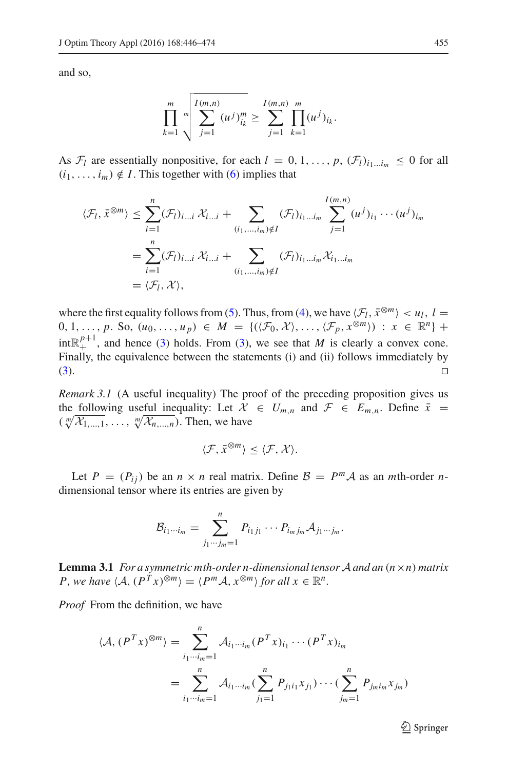and so,

$$
\prod_{k=1}^{m} \sqrt{\sum_{j=1}^{I(m,n)} (u^j)_{i_k}^m} \ge \sum_{j=1}^{I(m,n)} \prod_{k=1}^{m} (u^j)_{i_k}.
$$

As  $\mathcal{F}_l$  are essentially nonpositive, for each  $l = 0, 1, \ldots, p, (\mathcal{F}_l)_{i_1 \ldots i_m} \leq 0$  for all  $(i_1, \ldots, i_m) \notin I$ . This together with [\(6\)](#page-8-0) implies that

$$
\langle \mathcal{F}_l, \bar{x}^{\otimes m} \rangle \leq \sum_{i=1}^n (\mathcal{F}_l)_{i \dots i} \mathcal{X}_{i \dots i} + \sum_{(i_1, \dots, i_m) \notin I} (\mathcal{F}_l)_{i_1 \dots i_m} \sum_{j=1}^{I(m,n)} (u^j)_{i_1} \cdots (u^j)_{i_m}
$$
  

$$
= \sum_{i=1}^n (\mathcal{F}_l)_{i \dots i} \mathcal{X}_{i \dots i} + \sum_{(i_1, \dots, i_m) \notin I} (\mathcal{F}_l)_{i_1 \dots i_m} \mathcal{X}_{i_1 \dots i_m}
$$
  

$$
= \langle \mathcal{F}_l, \mathcal{X} \rangle,
$$

where the first equality follows from [\(5\)](#page-7-2). Thus, from [\(4\)](#page-7-3), we have  $\langle \mathcal{F}_l, \bar{x}^{\otimes m} \rangle < u_l, l =$  $0, 1, \ldots, p$ . So,  $(u_0, \ldots, u_p) \in M = \{(\langle \mathcal{F}_0, \mathcal{X} \rangle, \ldots, \langle \mathcal{F}_p, x^{\otimes m} \rangle) : x \in \mathbb{R}^n\}$ int $\mathbb{R}^{p+1}_+$ , and hence [\(3\)](#page-7-1) holds. From (3), we see that *M* is clearly a convex cone. Finally, the equivalence between the statements (i) and (ii) follows immediately by  $\Box$   $\Box$ 

<span id="page-9-1"></span>*Remark 3.1* (A useful inequality) The proof of the preceding proposition gives us the following useful inequality: Let  $\mathcal{X} \in U_{m,n}$  and  $\mathcal{F} \in E_{m,n}$ . Define  $\bar{x} =$  $(\sqrt[m]{X_1}, \ldots, \sqrt[m]{X_n}, \ldots, n)$ . Then, we have

$$
\langle \mathcal{F}, \bar{x}^{\otimes m} \rangle \leq \langle \mathcal{F}, \mathcal{X} \rangle.
$$

Let  $P = (P_{ij})$  be an  $n \times n$  real matrix. Define  $B = P^m A$  as an *m*th-order *n*dimensional tensor where its entries are given by

$$
\mathcal{B}_{i_1\cdots i_m}=\sum_{j_1\cdots j_m=1}^n P_{i_1j_1}\cdots P_{i_mj_m}\mathcal{A}_{j_1\cdots j_m}.
$$

<span id="page-9-0"></span>**Lemma 3.1** *For a symmetric mth-order n-dimensional tensor A and an* (*n*×*n*) *matrix P*, we have  $\langle A, (P^T x)^{\otimes m} \rangle = \langle P^m A, x^{\otimes m} \rangle$  for all  $x \in \mathbb{R}^n$ .

*Proof* From the definition, we have

$$
\langle A, (P^T x)^{\otimes m} \rangle = \sum_{i_1 \cdots i_m = 1}^n A_{i_1 \cdots i_m} (P^T x)_{i_1} \cdots (P^T x)_{i_m}
$$
  
= 
$$
\sum_{i_1 \cdots i_m = 1}^n A_{i_1 \cdots i_m} (\sum_{j_1=1}^n P_{j_1 i_1} x_{j_1}) \cdots (\sum_{j_m=1}^n P_{j_m i_m} x_{j_m})
$$

 $\mathcal{D}$  Springer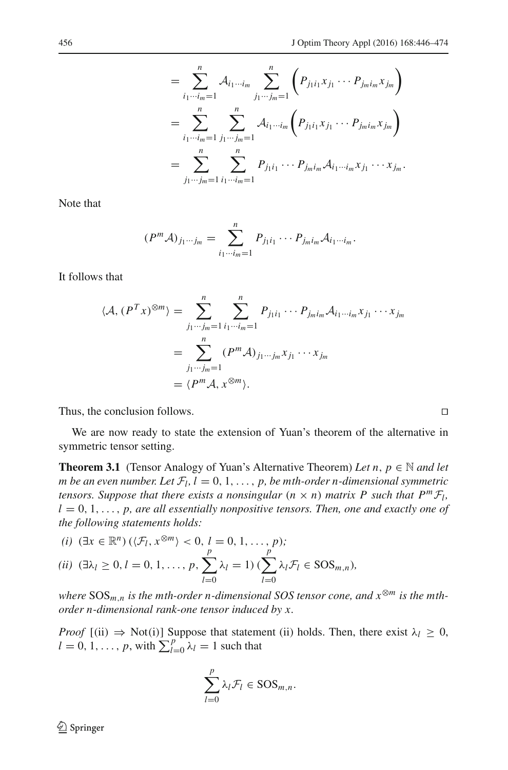$$
= \sum_{i_1\cdots i_m=1}^n A_{i_1\cdots i_m} \sum_{j_1\cdots j_m=1}^n \left( P_{j_1i_1}x_{j_1}\cdots P_{j_m i_m}x_{j_m} \right)
$$
  

$$
= \sum_{i_1\cdots i_m=1}^n \sum_{j_1\cdots j_m=1}^n A_{i_1\cdots i_m} \left( P_{j_1i_1}x_{j_1}\cdots P_{j_m i_m}x_{j_m} \right)
$$
  

$$
= \sum_{j_1\cdots j_m=1}^n \sum_{i_1\cdots i_m=1}^n P_{j_1i_1}\cdots P_{j_m i_m}A_{i_1\cdots i_m}x_{j_1}\cdots x_{j_m}.
$$

Note that

$$
(P^m\mathcal{A})_{j_1\cdots j_m}=\sum_{i_1\cdots i_m=1}^n P_{j_1i_1}\cdots P_{j_mi_m}\mathcal{A}_{i_1\cdots i_m}.
$$

It follows that

$$
\langle A, (P^T x)^{\otimes m} \rangle = \sum_{j_1 \cdots j_m=1}^n \sum_{i_1 \cdots i_m=1}^n P_{j_1 i_1} \cdots P_{j_m i_m} A_{i_1 \cdots i_m} x_{j_1} \cdots x_{j_m}
$$

$$
= \sum_{j_1 \cdots j_m=1}^n (P^m A)_{j_1 \cdots j_m} x_{j_1} \cdots x_{j_m}
$$

$$
= \langle P^m A, x^{\otimes m} \rangle.
$$

Thus, the conclusion follows.

<span id="page-10-0"></span>We are now ready to state the extension of Yuan's theorem of the alternative in symmetric tensor setting.

**Theorem 3.1** (Tensor Analogy of Yuan's Alternative Theorem) *Let n*,  $p \in \mathbb{N}$  *and let m be an even number. Let*  $\mathcal{F}_l$ ,  $l = 0, 1, \ldots, p$ , *be mth-order n-dimensional symmetric tensors. Suppose that there exists a nonsingular*  $(n \times n)$  *matrix P such that*  $P^m \mathcal{F}_l$ *,*  $l = 0, 1, \ldots, p$ , are all essentially nonpositive tensors. Then, one and exactly one of *the following statements holds:*

$$
(i) \ (\exists x \in \mathbb{R}^n) \ ((\mathcal{F}_l, x^{\otimes m}) < 0, \ l = 0, 1, \dots, p);
$$
\n
$$
(ii) \ (\exists \lambda_l \geq 0, \ l = 0, 1, \dots, p, \sum_{l=0}^p \lambda_l = 1) \ (\sum_{l=0}^p \lambda_l \mathcal{F}_l \in \text{SOS}_{m,n}),
$$

*where*  $SOS_{m,n}$  *is the mth-order n-dimensional SOS tensor cone, and*  $x^{\otimes m}$  *is the mthorder n-dimensional rank-one tensor induced by x.*

*Proof*  $[(ii) \Rightarrow Not(i)]$  Suppose that statement (ii) holds. Then, there exist  $\lambda_l \geq 0$ ,  $l = 0, 1, \ldots, p$ , with  $\sum_{l=0}^{p} \lambda_l = 1$  such that

$$
\sum_{l=0}^p \lambda_l \mathcal{F}_l \in \text{SOS}_{m,n}.
$$

<sup>2</sup> Springer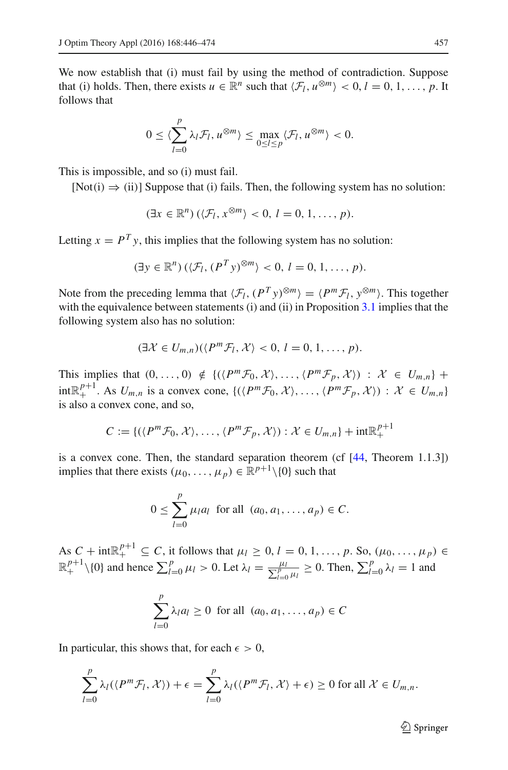We now establish that (i) must fail by using the method of contradiction. Suppose that (i) holds. Then, there exists  $u \in \mathbb{R}^n$  such that  $\langle \mathcal{F}_l, u^{\otimes m} \rangle < 0, l = 0, 1, \ldots, p$ . It follows that

$$
0 \leq \langle \sum_{l=0}^p \lambda_l \mathcal{F}_l, u^{\otimes m} \rangle \leq \max_{0 \leq l \leq p} \langle \mathcal{F}_l, u^{\otimes m} \rangle < 0.
$$

This is impossible, and so (i) must fail.

 $[Not(i) \Rightarrow (ii)]$  Suppose that (i) fails. Then, the following system has no solution:

$$
(\exists x \in \mathbb{R}^n) (\langle \mathcal{F}_l, x^{\otimes m} \rangle < 0, l = 0, 1, \ldots, p).
$$

Letting  $x = P^T y$ , this implies that the following system has no solution:

$$
(\exists y \in \mathbb{R}^n) \left( \langle \mathcal{F}_l, (P^T y)^{\otimes m} \rangle < 0, \, l = 0, 1, \ldots, p \right).
$$

Note from the preceding lemma that  $\langle \mathcal{F}_l, (P^T v)^{\otimes m} \rangle = \langle P^m \mathcal{F}_l, v^{\otimes m} \rangle$ . This together with the equivalence between statements (i) and (ii) in Proposition  $3.1$  implies that the following system also has no solution:

$$
(\exists \mathcal{X} \in U_{m,n}) (\langle P^m \mathcal{F}_l, \mathcal{X} \rangle < 0, \ l = 0, 1, \ldots, p).
$$

This implies that  $(0, \ldots, 0) \notin \{(\langle P^m \mathcal{F}_0, \mathcal{X} \rangle, \ldots, \langle P^m \mathcal{F}_p, \mathcal{X} \rangle) : \mathcal{X} \in U_{m,n}\}$ int $\mathbb{R}^{p+1}_+$ . As  $U_{m,n}$  is a convex cone,  $\{(\langle P^m \mathcal{F}_0, \mathcal{X} \rangle, \dots, \langle P^m \mathcal{F}_p, \mathcal{X} \rangle) : \mathcal{X} \in U_{m,n}\}$ is also a convex cone, and so,

$$
C := \{ (\langle P^m \mathcal{F}_0, \mathcal{X} \rangle, \dots, \langle P^m \mathcal{F}_p, \mathcal{X} \rangle) : \mathcal{X} \in U_{m,n} \} + \text{int} \mathbb{R}^{p+1}_+
$$

is a convex cone. Then, the standard separation theorem (cf  $[44,$  Theorem 1.1.3]) implies that there exists  $(\mu_0, \dots, \mu_p) \in \mathbb{R}^{p+1} \setminus \{0\}$  such that

$$
0 \leq \sum_{l=0}^{p} \mu_l a_l \text{ for all } (a_0, a_1, \dots, a_p) \in C.
$$

 $\text{As } C + \text{int} \mathbb{R}^{p+1} \subseteq C, \text{ it follows that } \mu_l \ge 0, l = 0, 1, \ldots, p. \text{ So, } (\mu_0, \ldots, \mu_p) \in \mathbb{R}^{p+1}$  $\mathbb{R}^{p+1}_+ \setminus \{0\}$  and hence  $\sum_{l=0}^p \mu_l > 0$ . Let  $\lambda_l = \frac{\mu_l}{\sum_{l=0}^p \mu_l}$  $\frac{\mu_l}{p} \geq 0$ . Then,  $\sum_{l=0}^{p} \lambda_l = 1$  and

$$
\sum_{l=0}^{p} \lambda_l a_l \ge 0 \text{ for all } (a_0, a_1, \dots, a_p) \in C
$$

In particular, this shows that, for each  $\epsilon > 0$ ,

$$
\sum_{l=0}^p \lambda_l(\langle P^m \mathcal{F}_l, \mathcal{X} \rangle) + \epsilon = \sum_{l=0}^p \lambda_l(\langle P^m \mathcal{F}_l, \mathcal{X} \rangle + \epsilon) \ge 0 \text{ for all } \mathcal{X} \in U_{m,n}.
$$

 $\mathcal{D}$  Springer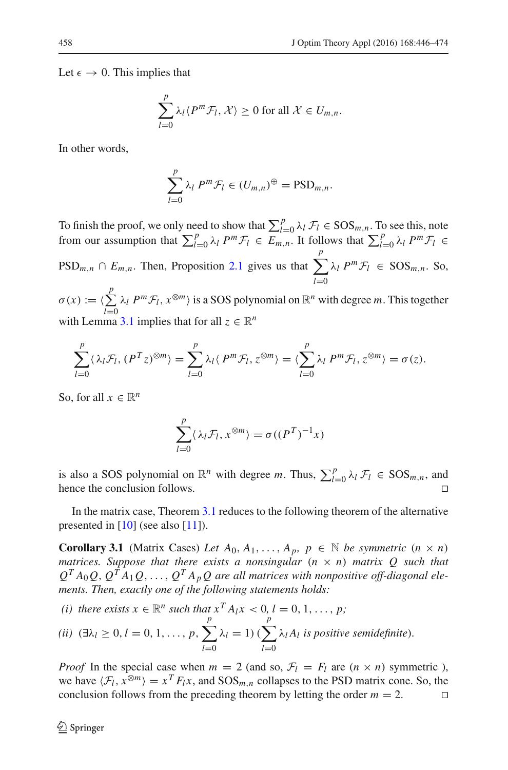Let  $\epsilon \to 0$ . This implies that

$$
\sum_{l=0}^p \lambda_l \langle P^m \mathcal{F}_l, \mathcal{X} \rangle \ge 0 \text{ for all } \mathcal{X} \in U_{m,n}.
$$

In other words,

$$
\sum_{l=0}^p \lambda_l P^m \mathcal{F}_l \in (U_{m,n})^{\oplus} = \text{PSD}_{m,n}.
$$

To finish the proof, we only need to show that  $\sum_{i=0}^{p} \lambda_i \mathcal{F}_l \in SOS_{m,n}$ . To see this, note from our assumption that  $\sum_{l=0}^{p} \lambda_l P^m \mathcal{F}_l \in E_{m,n}^{1-\infty}$ . It follows that  $\sum_{l=0}^{p} \lambda_l P^m \mathcal{F}_l \in E_{m,n}$  $PSD_{m,n} \cap E_{m,n}$ . Then, Proposition [2.1](#page-5-0) gives us that  $\sum_{n=1}^{p}$ *l*=0  $\lambda_l P^m \mathcal{F}_l \in \text{SOS}_{m,n}$ . So,

 $\sigma(x) := \langle \sum_{x}$  $\sum_{n=0}^{p} \lambda_l P^m \mathcal{F}_l$ ,  $x^{\otimes m}$  is a SOS polynomial on  $\mathbb{R}^n$  with degree *m*. This together with Lemma [3.1](#page-9-0) implies that for all  $z \in \mathbb{R}^n$ 

$$
\sum_{l=0}^p \langle \lambda_l \mathcal{F}_l, (P^T z)^{\otimes m} \rangle = \sum_{l=0}^p \lambda_l \langle P^m \mathcal{F}_l, z^{\otimes m} \rangle = \langle \sum_{l=0}^p \lambda_l P^m \mathcal{F}_l, z^{\otimes m} \rangle = \sigma(z).
$$

So, for all  $x \in \mathbb{R}^n$ 

$$
\sum_{l=0}^p \langle \lambda_l \mathcal{F}_l, x^{\otimes m} \rangle = \sigma((P^T)^{-1}x)
$$

is also a SOS polynomial on  $\mathbb{R}^n$  with degree *m*. Thus,  $\sum_{l=0}^p \lambda_l \mathcal{F}_l \in SOS_{m,n}$ , and hence the conclusion follows.

<span id="page-12-0"></span>In the matrix case, Theorem [3.1](#page-10-0) reduces to the following theorem of the alternative presented in [\[10\]](#page-27-1) (see also [\[11](#page-27-2)]).

**Corollary 3.1** (Matrix Cases) *Let*  $A_0, A_1, \ldots, A_p, p \in \mathbb{N}$  *be symmetric*  $(n \times n)$ *matrices. Suppose that there exists a nonsingular* (*n* × *n*) *matrix Q such that*  $Q^T A_0 Q$ ,  $Q^T A_1 Q$ ,...,  $Q^T A_p Q$  are all matrices with nonpositive off-diagonal ele*ments. Then, exactly one of the following statements holds:*

*(i) there exists*  $x \in \mathbb{R}^n$  *such that*  $x^T A_l x < 0, l = 0, 1, ..., p$ ;

(*ii*) 
$$
(\exists \lambda_l \geq 0, l = 0, 1, ..., p, \sum_{l=0}^{p} \lambda_l = 1)
$$
  $(\sum_{l=0}^{p} \lambda_l A_l \text{ is positive semidefinite}).$ 

*Proof* In the special case when  $m = 2$  (and so,  $\mathcal{F}_l = F_l$  are  $(n \times n)$  symmetric), we have  $\langle \mathcal{F}_l, \hat{x}^{\otimes m} \rangle = x^T F_l x$ , and  $SOS_{m,n}$  collapses to the PSD matrix cone. So, the conclusion follows from the preceding theorem by letting the order  $m = 2$ . conclusion follows from the preceding theorem by letting the order  $m = 2$ .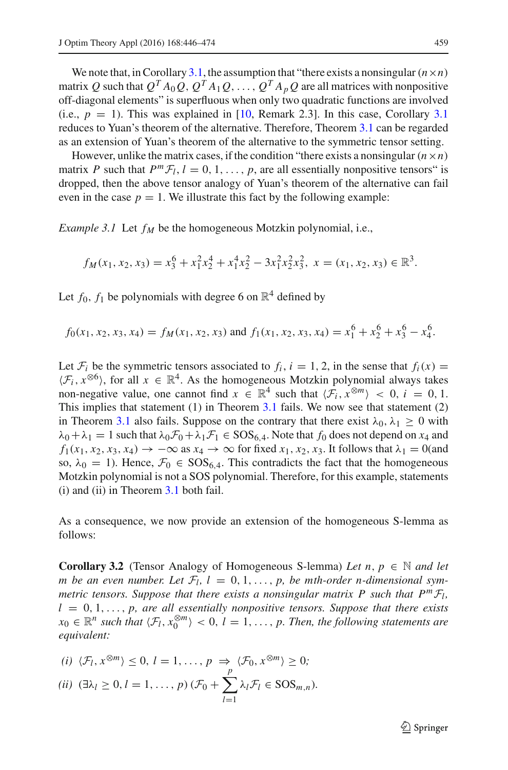We note that, in Corollary [3.1,](#page-12-0) the assumption that "there exists a nonsingular  $(n \times n)$ " matrix *Q* such that  $Q^T A_0 Q$ ,  $Q^T A_1 Q$ , ...,  $Q^T A_p Q$  are all matrices with nonpositive off-diagonal elements" is superfluous when only two quadratic functions are involved (i.e.,  $p = 1$ ). This was explained in [\[10,](#page-27-1) Remark 2.3]. In this case, Corollary [3.1](#page-12-0) reduces to Yuan's theorem of the alternative. Therefore, Theorem [3.1](#page-10-0) can be regarded as an extension of Yuan's theorem of the alternative to the symmetric tensor setting.

However, unlike the matrix cases, if the condition "there exists a nonsingular  $(n \times n)$ " matrix *P* such that  $P^m \mathcal{F}_l$ ,  $l = 0, 1, \ldots, p$ , are all essentially nonpositive tensors" is dropped, then the above tensor analogy of Yuan's theorem of the alternative can fail even in the case  $p = 1$ . We illustrate this fact by the following example:

*Example 3.1* Let  $f_M$  be the homogeneous Motzkin polynomial, i.e.,

$$
f_M(x_1, x_2, x_3) = x_3^6 + x_1^2 x_2^4 + x_1^4 x_2^2 - 3x_1^2 x_2^2 x_3^2, \ x = (x_1, x_2, x_3) \in \mathbb{R}^3.
$$

Let  $f_0$ ,  $f_1$  be polynomials with degree 6 on  $\mathbb{R}^4$  defined by

$$
f_0(x_1, x_2, x_3, x_4) = f_M(x_1, x_2, x_3)
$$
 and  $f_1(x_1, x_2, x_3, x_4) = x_1^6 + x_2^6 + x_3^6 - x_4^6$ .

Let  $\mathcal{F}_i$  be the symmetric tensors associated to  $f_i$ ,  $i = 1, 2$ , in the sense that  $f_i(x) =$  $\langle \mathcal{F}_i, x^{\otimes 6} \rangle$ , for all  $x \in \mathbb{R}^4$ . As the homogeneous Motzkin polynomial always takes non-negative value, one cannot find  $x \in \mathbb{R}^4$  such that  $\langle \mathcal{F}_i, x^{\otimes m} \rangle < 0$ ,  $i = 0, 1$ . This implies that statement  $(1)$  in Theorem [3.1](#page-10-0) fails. We now see that statement  $(2)$ in Theorem [3.1](#page-10-0) also fails. Suppose on the contrary that there exist  $\lambda_0, \lambda_1 \geq 0$  with  $\lambda_0 + \lambda_1 = 1$  such that  $\lambda_0 \mathcal{F}_0 + \lambda_1 \mathcal{F}_1 \in SOS_{6,4}$ . Note that  $f_0$  does not depend on  $x_4$  and  $f_1(x_1, x_2, x_3, x_4) \rightarrow -\infty$  as  $x_4 \rightarrow \infty$  for fixed  $x_1, x_2, x_3$ . It follows that  $\lambda_1 = 0$  (and so,  $\lambda_0 = 1$ ). Hence,  $\mathcal{F}_0 \in SOS_{6,4}$ . This contradicts the fact that the homogeneous Motzkin polynomial is not a SOS polynomial. Therefore, for this example, statements (i) and (ii) in Theorem [3.1](#page-10-0) both fail.

<span id="page-13-0"></span>As a consequence, we now provide an extension of the homogeneous S-lemma as follows:

**Corollary 3.2** (Tensor Analogy of Homogeneous S-lemma) Let  $n, p \in \mathbb{N}$  and let *m be an even number. Let*  $\mathcal{F}_l$ ,  $l = 0, 1, \ldots, p$ , be mth-order n-dimensional sym*metric tensors. Suppose that there exists a nonsingular matrix P such that*  $P^m \mathcal{F}_1$ *,*  $l = 0, 1, \ldots, p$ , are all essentially nonpositive tensors. Suppose that there exists  $x_0 \in \mathbb{R}^n$  *such that*  $\langle \mathcal{F}_l, x_0^{\otimes m} \rangle < 0$ ,  $l = 1, \ldots, p$ . Then, the following statements are *equivalent:*

$$
(i) \langle \mathcal{F}_l, x^{\otimes m} \rangle \leq 0, l = 1, \ldots, p \implies \langle \mathcal{F}_0, x^{\otimes m} \rangle \geq 0;
$$

$$
(ii) \ (\exists \lambda_l \geq 0, l = 1, \ldots, p) \ (\mathcal{F}_0 + \sum_{l=1} \lambda_l \mathcal{F}_l \in \text{SOS}_{m,n}).
$$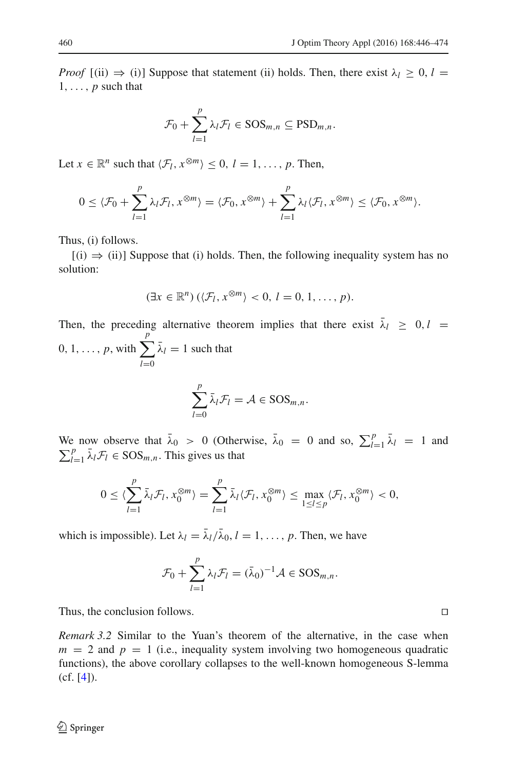*Proof*  $[(ii) \Rightarrow (i)]$  Suppose that statement (ii) holds. Then, there exist  $\lambda_l \geq 0$ ,  $l =$ 1,..., *p* such that

$$
\mathcal{F}_0 + \sum_{l=1}^p \lambda_l \mathcal{F}_l \in \text{SOS}_{m,n} \subseteq \text{PSD}_{m,n}.
$$

Let  $x \in \mathbb{R}^n$  such that  $\langle \mathcal{F}_l, x^{\otimes m} \rangle \leq 0, l = 1, \ldots, p$ . Then,

$$
0 \leq \langle \mathcal{F}_0 + \sum_{l=1}^p \lambda_l \mathcal{F}_l, x^{\otimes m} \rangle = \langle \mathcal{F}_0, x^{\otimes m} \rangle + \sum_{l=1}^p \lambda_l \langle \mathcal{F}_l, x^{\otimes m} \rangle \leq \langle \mathcal{F}_0, x^{\otimes m} \rangle.
$$

Thus, (i) follows.

 $[(i) \Rightarrow (ii)]$  Suppose that (i) holds. Then, the following inequality system has no solution:

$$
(\exists x \in \mathbb{R}^n) (\langle \mathcal{F}_l, x^{\otimes m} \rangle < 0, l = 0, 1, \ldots, p).
$$

Then, the preceding alternative theorem implies that there exist  $\bar{\lambda}_l \geq 0, l =$  $[0, 1, \ldots, p, \text{ with } \sum^p$ *l*=0  $\lambda_l = 1$  such that

$$
\sum_{l=0}^{p} \bar{\lambda}_l \mathcal{F}_l = \mathcal{A} \in \text{SOS}_{m,n}.
$$

We now observe that  $\bar{\lambda}_0 > 0$  (Otherwise,  $\bar{\lambda}_0 = 0$  and so,  $\sum_{l=1}^{p} \bar{\lambda}_l = 1$  and  $\sum_{l=1}^{p} \bar{\lambda}_l \mathcal{F}_l \in \text{SOS}_{m,n}$ . This gives us that

$$
0 \leq \langle \sum_{l=1}^p \bar{\lambda}_l \mathcal{F}_l, x_0^{\otimes m} \rangle = \sum_{l=1}^p \bar{\lambda}_l \langle \mathcal{F}_l, x_0^{\otimes m} \rangle \leq \max_{1 \leq l \leq p} \langle \mathcal{F}_l, x_0^{\otimes m} \rangle < 0,
$$

which is impossible). Let  $\lambda_l = \bar{\lambda}_l/\bar{\lambda}_0$ ,  $l = 1, \ldots, p$ . Then, we have

$$
\mathcal{F}_0 + \sum_{l=1}^p \lambda_l \mathcal{F}_l = (\bar{\lambda}_0)^{-1} \mathcal{A} \in \text{SOS}_{m,n}.
$$

Thus, the conclusion follows.

*Remark 3.2* Similar to the Yuan's theorem of the alternative, in the case when  $m = 2$  and  $p = 1$  (i.e., inequality system involving two homogeneous quadratic functions), the above corollary collapses to the well-known homogeneous S-lemma (cf. [\[4](#page-26-6)]).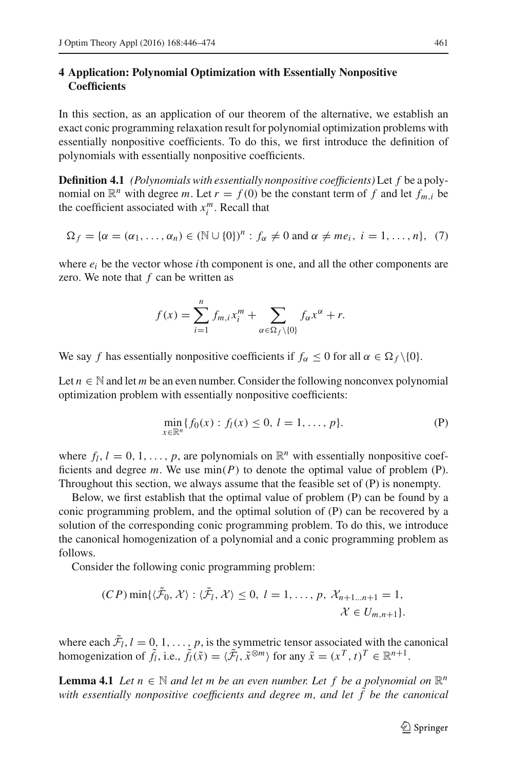# <span id="page-15-0"></span>**4 Application: Polynomial Optimization with Essentially Nonpositive Coefficients**

In this section, as an application of our theorem of the alternative, we establish an exact conic programming relaxation result for polynomial optimization problems with essentially nonpositive coefficients. To do this, we first introduce the definition of polynomials with essentially nonpositive coefficients.

**Definition 4.1** *(Polynomials with essentially nonpositive coefficients)* Let *f* be a polynomial on  $\mathbb{R}^n$  with degree *m*. Let  $r = f(0)$  be the constant term of f and let  $f_{m,i}$  be the coefficient associated with  $x_i^m$ . Recall that

$$
\Omega_f = \{ \alpha = (\alpha_1, \ldots, \alpha_n) \in (\mathbb{N} \cup \{0\})^n : f_\alpha \neq 0 \text{ and } \alpha \neq me_i, i = 1, \ldots, n \}, \tag{7}
$$

where  $e_i$  be the vector whose *i*th component is one, and all the other components are zero. We note that *f* can be written as

$$
f(x) = \sum_{i=1}^{n} f_{m,i} x_i^{m} + \sum_{\alpha \in \Omega_f \setminus \{0\}} f_{\alpha} x^{\alpha} + r.
$$

We say *f* has essentially nonpositive coefficients if  $f_\alpha \leq 0$  for all  $\alpha \in \Omega_f \setminus \{0\}.$ 

Let  $n \in \mathbb{N}$  and let *m* be an even number. Consider the following nonconvex polynomial optimization problem with essentially nonpositive coefficients:

$$
\min_{x \in \mathbb{R}^n} \{ f_0(x) : f_l(x) \le 0, \ l = 1, \dots, p \}. \tag{P}
$$

where  $f_l$ ,  $l = 0, 1, \ldots, p$ , are polynomials on  $\mathbb{R}^n$  with essentially nonpositive coefficients and degree  $m$ . We use  $min(P)$  to denote the optimal value of problem  $(P)$ . Throughout this section, we always assume that the feasible set of (P) is nonempty.

Below, we first establish that the optimal value of problem (P) can be found by a conic programming problem, and the optimal solution of (P) can be recovered by a solution of the corresponding conic programming problem. To do this, we introduce the canonical homogenization of a polynomial and a conic programming problem as follows.

Consider the following conic programming problem:

$$
(CP)\min\{\langle \tilde{\mathcal{F}}_0, \mathcal{X} \rangle : \langle \tilde{\mathcal{F}}_l, \mathcal{X} \rangle \leq 0, l = 1, \dots, p, \mathcal{X}_{n+1\ldots n+1} = 1, \mathcal{X} \in U_{m,n+1}\}.
$$

where each  $\mathcal{F}_l$ ,  $l = 0, 1, \ldots, p$ , is the symmetric tensor associated with the canonical homogenization of  $\tilde{f}_l$ , i.e.,  $\tilde{f}_l(\tilde{x}) = \langle \tilde{\mathcal{F}}_l, \tilde{x}^{\otimes m} \rangle$  for any  $\tilde{x} = (x^T, t)^T \in \mathbb{R}^{n+1}$ .

**Lemma 4.1** *Let*  $n \in \mathbb{N}$  *and let m be an even number. Let*  $f$  *be a polynomial on*  $\mathbb{R}^n$ *with essentially nonpositive coefficients and degree m, and let*  $\tilde{f}$  *be the canonical*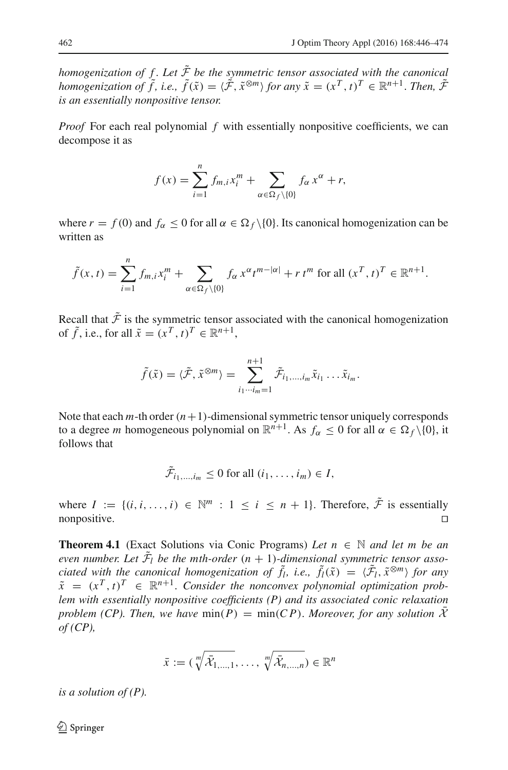*homogenization of f. Let*  $\tilde{\mathcal{F}}$  *be the symmetric tensor associated with the canonical homogenization of*  $\tilde{f}$ , *i.e.*,  $\tilde{f}(\tilde{x}) = \langle \tilde{\tilde{F}}, \tilde{x}^{\otimes m} \rangle$  for any  $\tilde{x} = (x^T, t)^T \in \mathbb{R}^{n+1}$ . *Then,*  $\tilde{\mathcal{F}}$ *is an essentially nonpositive tensor.*

*Proof* For each real polynomial *f* with essentially nonpositive coefficients, we can decompose it as

$$
f(x) = \sum_{i=1}^{n} f_{m,i} x_i^{m} + \sum_{\alpha \in \Omega_f \setminus \{0\}} f_{\alpha} x^{\alpha} + r,
$$

where  $r = f(0)$  and  $f_\alpha \le 0$  for all  $\alpha \in \Omega_f \setminus \{0\}$ . Its canonical homogenization can be written as

$$
\tilde{f}(x,t) = \sum_{i=1}^{n} f_{m,i} x_i^{m} + \sum_{\alpha \in \Omega_f \setminus \{0\}} f_{\alpha} x^{\alpha} t^{m-|\alpha|} + r t^{m} \text{ for all } (x^T, t)^T \in \mathbb{R}^{n+1}.
$$

Recall that  $\tilde{\mathcal{F}}$  is the symmetric tensor associated with the canonical homogenization of  $\tilde{f}$ , i.e., for all  $\tilde{x} = (x^T, t)^T \in \mathbb{R}^{n+1}$ ,

$$
\tilde{f}(\tilde{x}) = \langle \tilde{\mathcal{F}}, \tilde{x}^{\otimes m} \rangle = \sum_{i_1 \cdots i_m = 1}^{n+1} \tilde{\mathcal{F}}_{i_1, \ldots, i_m} \tilde{x}_{i_1} \ldots \tilde{x}_{i_m}.
$$

Note that each  $m$ -th order  $(n+1)$ -dimensional symmetric tensor uniquely corresponds to a degree *m* homogeneous polynomial on  $\mathbb{R}^{n+1}$ . As  $f_\alpha \leq 0$  for all  $\alpha \in \Omega_f \setminus \{0\}$ , it follows that

$$
\mathcal{F}_{i_1,\dots,i_m} \leq 0 \text{ for all } (i_1,\dots,i_m) \in I,
$$

where  $I := \{(i, i, \ldots, i) \in \mathbb{N}^m : 1 \le i \le n + 1\}$ . Therefore,  $\tilde{\mathcal{F}}$  is essentially nonpositive. nonpositive.  $\Box$ 

**Theorem 4.1** (Exact Solutions via Conic Programs) Let  $n \in \mathbb{N}$  and let m be an *even number. Let*  $\mathcal{F}_l$  *be the mth-order*  $(n + 1)$ *-dimensional symmetric tensor associated with the canonical homogenization of*  $\tilde{f}_l$ , *i.e.*,  $\tilde{f}_l(\tilde{x}) = \langle \tilde{\mathcal{F}}_l, \tilde{x}^{\otimes m} \rangle$  for any  $\tilde{x} = (x^T, t)^T \in \mathbb{R}^{n+1}$ . *Consider the nonconvex polynomial optimization problem with essentially nonpositive coefficients (P) and its associated conic relaxation problem (CP). Then, we have*  $min(P) = min(CP)$ . *Moreover, for any solution X of (CP),*

$$
\bar{x} := (\sqrt[m]{\bar{X}_{1,\ldots,1}}, \ldots, \sqrt[m]{\bar{X}_{n,\ldots,n}}) \in \mathbb{R}^n
$$

*is a solution of (P).*

 $\circled{2}$  Springer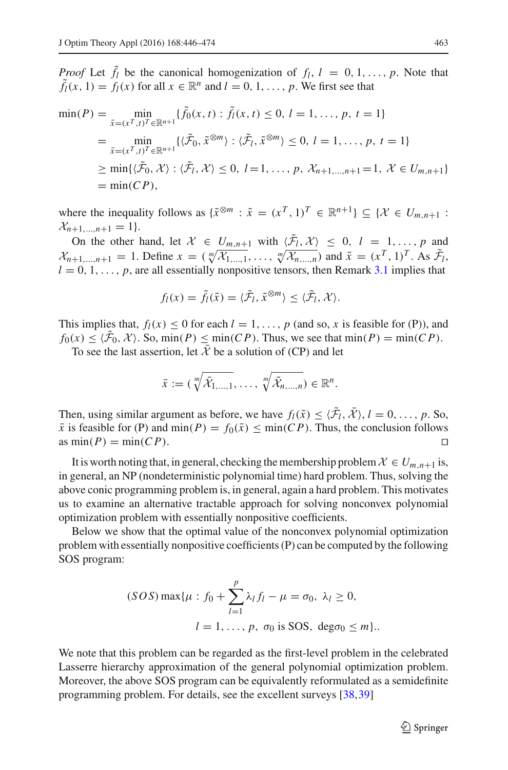*Proof* Let  $\tilde{f}_l$  be the canonical homogenization of  $f_l$ ,  $l = 0, 1, ..., p$ . Note that  $\tilde{f}_l(x, 1) = f_l(x)$  for all  $x \in \mathbb{R}^n$  and  $l = 0, 1, ..., p$ . We first see that

$$
\min(P) = \min_{\tilde{x}=(x^T, t)^T \in \mathbb{R}^{n+1}} \{ \tilde{f}_0(x, t) : \tilde{f}_l(x, t) \le 0, l = 1, ..., p, t = 1 \}
$$
  
\n
$$
= \min_{\tilde{x}=(x^T, t)^T \in \mathbb{R}^{n+1}} \{ \langle \tilde{\mathcal{F}}_0, \tilde{x}^{\otimes m} \rangle : \langle \tilde{\mathcal{F}}_l, \tilde{x}^{\otimes m} \rangle \le 0, l = 1, ..., p, t = 1 \}
$$
  
\n
$$
\ge \min \{ \langle \tilde{\mathcal{F}}_0, \mathcal{X} \rangle : \langle \tilde{\mathcal{F}}_l, \mathcal{X} \rangle \le 0, l = 1, ..., p, \mathcal{X}_{n+1, ..., n+1} = 1, \mathcal{X} \in U_{m, n+1} \}
$$
  
\n
$$
= \min(CP),
$$

where the inequality follows as  $\{\tilde{x}^{\otimes m} : \tilde{x} = (x^T, 1)^T \in \mathbb{R}^{n+1}\}\subset \{\mathcal{X} \in U_{m,n+1} :$  $\mathcal{X}_{n+1,\dots,n+1} = 1$ .

On the other hand, let  $\mathcal{X} \in U_{m,n+1}$  with  $\langle \mathcal{F}_l, \mathcal{X} \rangle \leq 0$ ,  $l = 1, \ldots, p$  and  $X_{n+1,...,n+1} = 1$ . Define  $x = (\sqrt[m]{X_{1,...,1}}, \dots, \sqrt[m]{X_{n,...,n}})$  and  $\tilde{x} = (x^T, 1)^T$ . As  $\tilde{\mathcal{F}}_l$ ,  $l = 0, 1, \ldots, p$ , are all essentially nonpositive tensors, then Remark [3.1](#page-9-1) implies that

$$
f_l(x) = \tilde{f}_l(\tilde{x}) = \langle \tilde{\mathcal{F}}_l, \tilde{x}^{\otimes m} \rangle \leq \langle \tilde{\mathcal{F}}_l, \mathcal{X} \rangle.
$$

This implies that,  $f_l(x) \leq 0$  for each  $l = 1, \ldots, p$  (and so, *x* is feasible for (P)), and  $f_0(x) \leq \langle \mathcal{F}_0, \mathcal{X} \rangle$ . So,  $\min(P) \leq \min(CP)$ . Thus, we see that  $\min(P) = \min(CP)$ .

To see the last assertion, let  $\overline{X}$  be a solution of (CP) and let

$$
\bar{x} := (\sqrt[m]{\bar{X}_{1,\ldots,1}}, \ldots, \sqrt[m]{\bar{X}_{n,\ldots,n}}) \in \mathbb{R}^n.
$$

Then, using similar argument as before, we have  $f_l(\bar{x}) \leq \langle \mathcal{F}_l, \mathcal{X} \rangle$ ,  $l = 0, \ldots, p$ . So,  $\bar{x}$  is feasible for (P) and min(*P*) =  $f_0(\bar{x}) \le \min(CP)$ . Thus, the conclusion follows as  $\min(P) = \min(CP)$ .

It is worth noting that, in general, checking the membership problem  $\mathcal{X} \in U_{m,n+1}$  is, in general, an NP (nondeterministic polynomial time) hard problem. Thus, solving the above conic programming problem is, in general, again a hard problem. This motivates us to examine an alternative tractable approach for solving nonconvex polynomial optimization problem with essentially nonpositive coefficients.

Below we show that the optimal value of the nonconvex polynomial optimization problem with essentially nonpositive coefficients (P) can be computed by the following SOS program:

$$
(SOS)\max\{\mu : f_0 + \sum_{l=1}^p \lambda_l f_l - \mu = \sigma_0, \ \lambda_l \ge 0,
$$
  

$$
l = 1, \dots, p, \ \sigma_0 \text{ is SOS, } \deg \sigma_0 \le m\}.
$$

<span id="page-17-0"></span>We note that this problem can be regarded as the first-level problem in the celebrated Lasserre hierarchy approximation of the general polynomial optimization problem. Moreover, the above SOS program can be equivalently reformulated as a semidefinite programming problem. For details, see the excellent surveys [\[38](#page-28-1)[,39](#page-28-8)]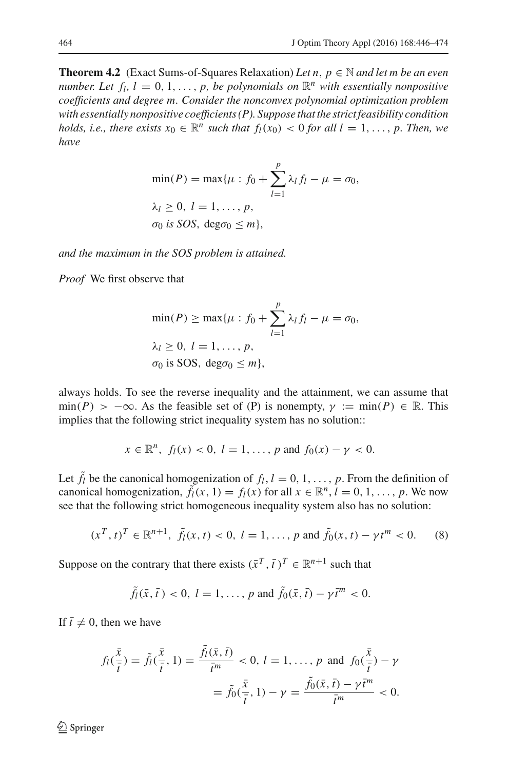**Theorem 4.2** (Exact Sums-of-Squares Relaxation) *Let n*,  $p \in \mathbb{N}$  *and let m be an even number. Let*  $f_l$ ,  $l = 0, 1, \ldots, p$ , *be polynomials on*  $\mathbb{R}^n$  *with essentially nonpositive coefficients and degree m. Consider the nonconvex polynomial optimization problem with essentially nonpositive coefficients (P). Suppose that the strict feasibility condition holds, i.e., there exists*  $x_0 \in \mathbb{R}^n$  *such that*  $f_l(x_0) < 0$  *for all*  $l = 1, \ldots, p$ *. Then, we have*

$$
\min(P) = \max\{\mu : f_0 + \sum_{l=1}^p \lambda_l f_l - \mu = \sigma_0,
$$
  

$$
\lambda_l \ge 0, l = 1, ..., p,
$$
  

$$
\sigma_0 \text{ is SOS, } \deg \sigma_0 \le m\},\
$$

*and the maximum in the SOS problem is attained.*

*Proof* We first observe that

$$
\min(P) \ge \max\{\mu : f_0 + \sum_{l=1}^p \lambda_l f_l - \mu = \sigma_0, \lambda_l \ge 0, l = 1, ..., p, \sigma_0 \text{ is SOS, } \deg \sigma_0 \le m\},\
$$

always holds. To see the reverse inequality and the attainment, we can assume that  $\min(P) > -\infty$ . As the feasible set of (P) is nonempty,  $\gamma := \min(P) \in \mathbb{R}$ . This implies that the following strict inequality system has no solution::

$$
x \in \mathbb{R}^n
$$
,  $f_l(x) < 0$ ,  $l = 1, ..., p$  and  $f_0(x) - \gamma < 0$ .

Let  $\tilde{f}_l$  be the canonical homogenization of  $f_l$ ,  $l = 0, 1, \ldots, p$ . From the definition of canonical homogenization,  $\tilde{f}_l(x, 1) = f_l(x)$  for all  $x \in \mathbb{R}^n, l = 0, 1, \ldots, p$ . We now see that the following strict homogeneous inequality system also has no solution:

$$
(x^T, t)^T \in \mathbb{R}^{n+1}
$$
,  $\tilde{f}_l(x, t) < 0$ ,  $l = 1, ..., p$  and  $\tilde{f}_0(x, t) - \gamma t^m < 0$ . (8)

<span id="page-18-0"></span>Suppose on the contrary that there exists  $(\bar{x}^T, \bar{t})^T \in \mathbb{R}^{n+1}$  such that

$$
\tilde{f}_l(\bar{x}, \bar{t}) < 0, l = 1, ..., p \text{ and } \tilde{f}_0(\bar{x}, \bar{t}) - \gamma \bar{t}^m < 0.
$$

If  $\bar{t} \neq 0$ , then we have

$$
f_l(\frac{\bar{x}}{\bar{t}}) = \tilde{f}_l(\frac{\bar{x}}{\bar{t}}, 1) = \frac{\tilde{f}_l(\bar{x}, \bar{t})}{\bar{t}^m} < 0, \ l = 1, \dots, p \text{ and } f_0(\frac{\bar{x}}{\bar{t}}) - \gamma
$$
\n
$$
= \tilde{f}_0(\frac{\bar{x}}{\bar{t}}, 1) - \gamma = \frac{\tilde{f}_0(\bar{x}, \bar{t}) - \gamma \bar{t}^m}{\bar{t}^m} < 0.
$$

 $\circled{2}$  Springer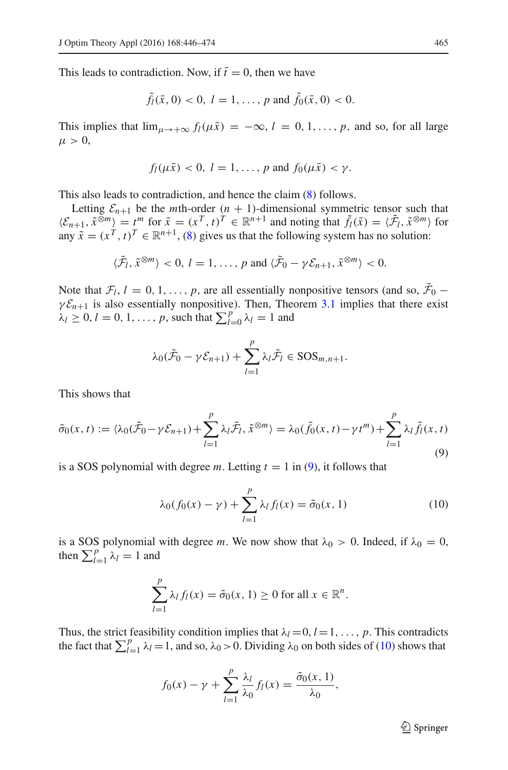This leads to contradiction. Now, if  $\bar{t} = 0$ , then we have

$$
f_l(\bar{x}, 0) < 0, \ l = 1, \ldots, p \text{ and } f_0(\bar{x}, 0) < 0.
$$

This implies that  $\lim_{\mu \to +\infty} f_l(\mu \bar{x}) = -\infty$ ,  $l = 0, 1, \ldots, p$ , and so, for all large  $\mu > 0$ ,

$$
f_l(\mu \bar{x}) < 0, \ l = 1, \ldots, p \text{ and } f_0(\mu \bar{x}) < \gamma.
$$

This also leads to contradiction, and hence the claim [\(8\)](#page-18-0) follows.

Letting  $\mathcal{E}_{n+1}$  be the *m*th-order  $(n + 1)$ -dimensional symmetric tensor such that  $\langle \mathcal{E}_{n+1}, \tilde{x}^{\otimes m} \rangle = t^m$  for  $\tilde{x} = (x^T, t)^T \in \mathbb{R}^{n+1}$  and noting that  $\tilde{f}_l(\tilde{x}) = \langle \tilde{\mathcal{F}}_l, \tilde{x}^{\otimes m} \rangle$  for any  $\tilde{x} = (x^T, t)^T \in \mathbb{R}^{n+1}$ , [\(8\)](#page-18-0) gives us that the following system has no solution:

$$
\langle \tilde{\mathcal{F}}_l, \tilde{x}^{\otimes m} \rangle < 0, l = 1, ..., p \text{ and } \langle \tilde{\mathcal{F}}_0 - \gamma \mathcal{E}_{n+1}, \tilde{x}^{\otimes m} \rangle < 0.
$$

Note that  $\mathcal{F}_l$ ,  $l = 0, 1, \ldots, p$ , are all essentially nonpositive tensors (and so,  $\mathcal{F}_0$  –  $\gamma \mathcal{E}_{n+1}$  is also essentially nonpositive). Then, Theorem [3.1](#page-10-0) implies that there exist  $\lambda_l \geq 0, l = 0, 1, \ldots, p$ , such that  $\sum_{l=0}^{p} \lambda_l = 1$  and

$$
\lambda_0(\tilde{\mathcal{F}}_0 - \gamma \mathcal{E}_{n+1}) + \sum_{l=1}^p \lambda_l \tilde{\mathcal{F}}_l \in \text{SOS}_{m,n+1}.
$$

This shows that

<span id="page-19-0"></span>
$$
\tilde{\sigma}_0(x,t) := \langle \lambda_0(\tilde{\mathcal{F}}_0 - \gamma \mathcal{E}_{n+1}) + \sum_{l=1}^p \lambda_l \tilde{\mathcal{F}}_l, \tilde{x}^{\otimes m} \rangle = \lambda_0(\tilde{f}_0(x,t) - \gamma t^m) + \sum_{l=1}^p \lambda_l \tilde{f}_l(x,t)
$$
\n(9)

<span id="page-19-1"></span>is a SOS polynomial with degree m. Letting  $t = 1$  in [\(9\)](#page-19-0), it follows that

$$
\lambda_0(f_0(x) - \gamma) + \sum_{l=1}^p \lambda_l f_l(x) = \tilde{\sigma}_0(x, 1)
$$
 (10)

is a SOS polynomial with degree *m*. We now show that  $\lambda_0 > 0$ . Indeed, if  $\lambda_0 = 0$ , then  $\sum_{l=1}^{p} \lambda_l = 1$  and

$$
\sum_{l=1}^p \lambda_l f_l(x) = \tilde{\sigma}_0(x, 1) \ge 0 \text{ for all } x \in \mathbb{R}^n.
$$

Thus, the strict feasibility condition implies that  $\lambda_l = 0, l = 1, \ldots, p$ . This contradicts the fact that  $\sum_{l=1}^{p} \lambda_l = 1$ , and so,  $\lambda_0 > 0$ . Dividing  $\lambda_0$  on both sides of [\(10\)](#page-19-1) shows that

$$
f_0(x) - \gamma + \sum_{l=1}^p \frac{\lambda_l}{\lambda_0} f_l(x) = \frac{\tilde{\sigma}_0(x, 1)}{\lambda_0},
$$

 $\mathcal{D}$  Springer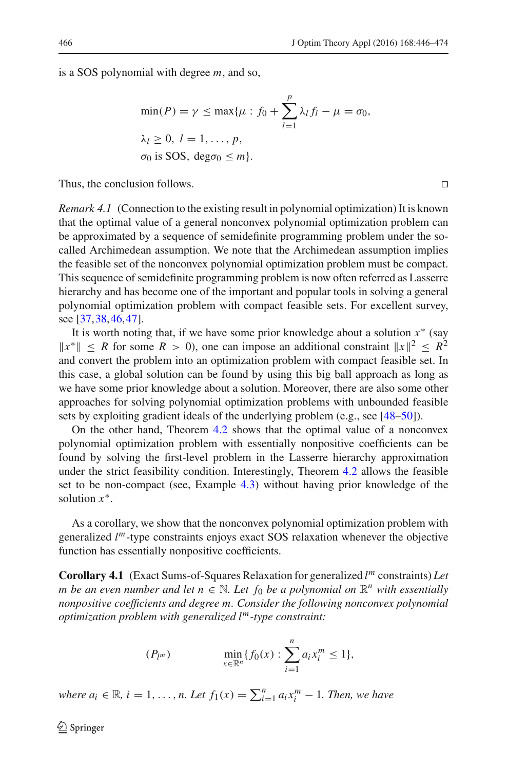is a SOS polynomial with degree *m*, and so,

$$
\min(P) = \gamma \le \max\{\mu : f_0 + \sum_{l=1}^p \lambda_l f_l - \mu = \sigma_0,
$$
  

$$
\lambda_l \ge 0, l = 1, ..., p,
$$
  

$$
\sigma_0 \text{ is SOS, } \deg \sigma_0 \le m\}.
$$

Thus, the conclusion follows.

*Remark 4.1* (Connection to the existing result in polynomial optimization) It is known that the optimal value of a general nonconvex polynomial optimization problem can be approximated by a sequence of semidefinite programming problem under the socalled Archimedean assumption. We note that the Archimedean assumption implies the feasible set of the nonconvex polynomial optimization problem must be compact. This sequence of semidefinite programming problem is now often referred as Lasserre hierarchy and has become one of the important and popular tools in solving a general polynomial optimization problem with compact feasible sets. For excellent survey, see [\[37](#page-28-0),[38](#page-28-1),[46,](#page-28-9)[47\]](#page-28-10).

It is worth noting that, if we have some prior knowledge about a solution *x*∗ (say  $||x^*|| < R$  for some  $R > 0$ , one can impose an additional constraint  $||x||^2 < R^2$ and convert the problem into an optimization problem with compact feasible set. In this case, a global solution can be found by using this big ball approach as long as we have some prior knowledge about a solution. Moreover, there are also some other approaches for solving polynomial optimization problems with unbounded feasible sets by exploiting gradient ideals of the underlying problem (e.g., see [\[48](#page-28-11)[–50](#page-28-12)]).

On the other hand, Theorem [4.2](#page-17-0) shows that the optimal value of a nonconvex polynomial optimization problem with essentially nonpositive coefficients can be found by solving the first-level problem in the Lasserre hierarchy approximation under the strict feasibility condition. Interestingly, Theorem [4.2](#page-17-0) allows the feasible set to be non-compact (see, Example [4.3\)](#page-23-0) without having prior knowledge of the solution *x*∗.

As a corollary, we show that the nonconvex polynomial optimization problem with generalized *l <sup>m</sup>*-type constraints enjoys exact SOS relaxation whenever the objective function has essentially nonpositive coefficients.

<span id="page-20-0"></span>**Corollary 4.1** (Exact Sums-of-Squares Relaxation for generalized *l <sup>m</sup>* constraints) *Let m be an even number and let n*  $\in$  *N. Let f<sub>0</sub> be a polynomial on*  $\mathbb{R}^n$  *with essentially nonpositive coefficients and degree m. Consider the following nonconvex polynomial optimization problem with generalized lm-type constraint:*

$$
(P_{l^m}) \qquad \min_{x \in \mathbb{R}^n} \{ f_0(x) : \sum_{i=1}^n a_i x_i^m \le 1 \},
$$

*where*  $a_i \in \mathbb{R}$ ,  $i = 1, ..., n$ . Let  $f_1(x) = \sum_{i=1}^n a_i x_i^m - 1$ . Then, we have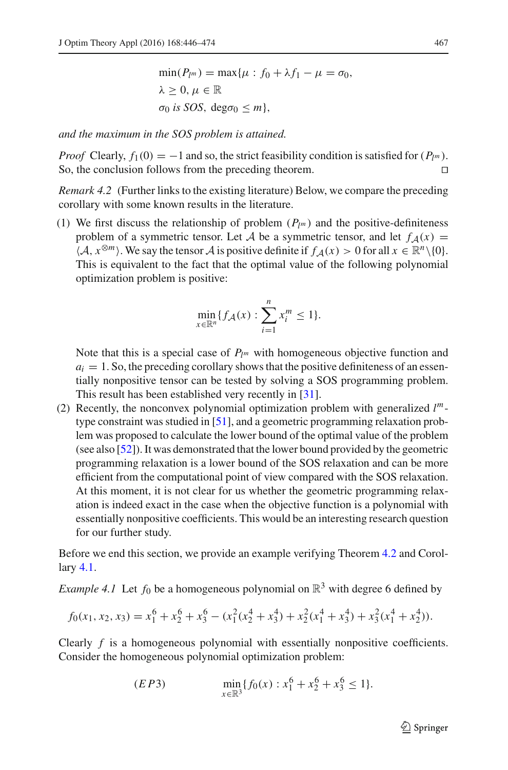*and the maximum in the SOS problem is attained.*

*Proof* Clearly,  $f_1(0) = -1$  and so, the strict feasibility condition is satisfied for  $(P_{l^m})$ .<br>So, the conclusion follows from the preceding theorem. So, the conclusion follows from the preceding theorem.

*Remark 4.2* (Further links to the existing literature) Below, we compare the preceding corollary with some known results in the literature.

(1) We first discuss the relationship of problem  $(P_{l^m})$  and the positive-definiteness problem of a symmetric tensor. Let *A* be a symmetric tensor, and let  $f_A(x) =$  $\langle A, x^{\otimes m} \rangle$ . We say the tensor *A* is positive definite if  $f_A(x) > 0$  for all  $x \in \mathbb{R}^n \setminus \{0\}$ . This is equivalent to the fact that the optimal value of the following polynomial optimization problem is positive:

$$
\min_{x \in \mathbb{R}^n} \{ f_{\mathcal{A}}(x) : \sum_{i=1}^n x_i^m \le 1 \}.
$$

Note that this is a special case of  $P_{\ell m}$  with homogeneous objective function and  $a_i = 1$ . So, the preceding corollary shows that the positive definiteness of an essentially nonpositive tensor can be tested by solving a SOS programming problem. This result has been established very recently in [\[31](#page-27-17)].

(2) Recently, the nonconvex polynomial optimization problem with generalized *l m*type constraint was studied in [\[51\]](#page-28-13), and a geometric programming relaxation problem was proposed to calculate the lower bound of the optimal value of the problem (see also [\[52](#page-28-14)]). It was demonstrated that the lower bound provided by the geometric programming relaxation is a lower bound of the SOS relaxation and can be more efficient from the computational point of view compared with the SOS relaxation. At this moment, it is not clear for us whether the geometric programming relaxation is indeed exact in the case when the objective function is a polynomial with essentially nonpositive coefficients. This would be an interesting research question for our further study.

Before we end this section, we provide an example verifying Theorem [4.2](#page-17-0) and Corollary [4.1.](#page-20-0)

*Example 4.1* Let  $f_0$  be a homogeneous polynomial on  $\mathbb{R}^3$  with degree 6 defined by

$$
f_0(x_1, x_2, x_3) = x_1^6 + x_2^6 + x_3^6 - (x_1^2(x_2^4 + x_3^4) + x_2^2(x_1^4 + x_3^4) + x_3^2(x_1^4 + x_2^4)).
$$

Clearly *f* is a homogeneous polynomial with essentially nonpositive coefficients. Consider the homogeneous polynomial optimization problem:

$$
(EP3) \qquad \min_{x \in \mathbb{R}^3} \{ f_0(x) : x_1^6 + x_2^6 + x_3^6 \le 1 \}.
$$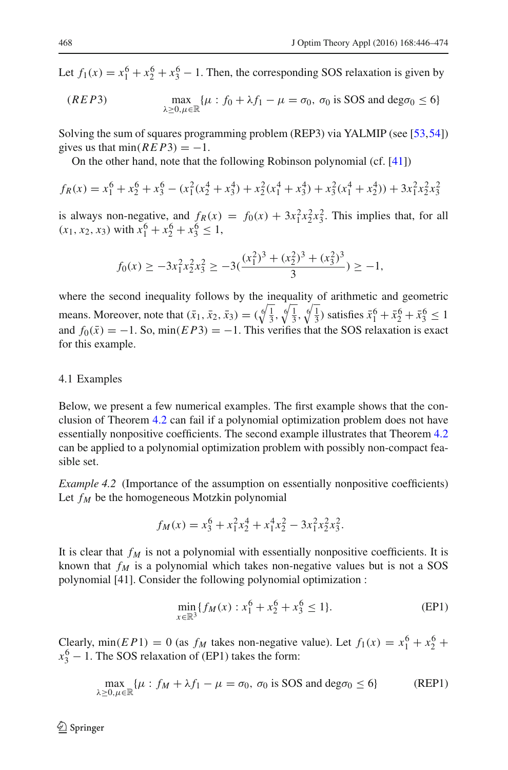Let  $f_1(x) = x_1^6 + x_2^6 + x_3^6 - 1$ . Then, the corresponding SOS relaxation is given by

$$
(REP3) \qquad \max_{\lambda \ge 0, \mu \in \mathbb{R}} \{ \mu : f_0 + \lambda f_1 - \mu = \sigma_0, \ \sigma_0 \text{ is SOS and } \deg \sigma_0 \le 6 \}
$$

Solving the sum of squares programming problem (REP3) via YALMIP (see [\[53](#page-28-15)[,54](#page-28-16)]) gives us that  $\min($ *REP*3 $) = -1$ .

On the other hand, note that the following Robinson polynomial (cf. [\[41](#page-28-3)])

$$
f_R(x) = x_1^6 + x_2^6 + x_3^6 - (x_1^2(x_2^4 + x_3^4) + x_2^2(x_1^4 + x_3^4) + x_3^2(x_1^4 + x_2^4)) + 3x_1^2x_2^2x_3^2
$$

is always non-negative, and  $f_R(x) = f_0(x) + 3x_1^2 x_2^2 x_3^2$ . This implies that, for all  $(x_1, x_2, x_3)$  with  $x_1^6 + x_2^6 + x_3^6 \le 1$ ,

$$
f_0(x) \ge -3x_1^2 x_2^2 x_3^2 \ge -3\left(\frac{(x_1^2)^3 + (x_2^2)^3 + (x_3^2)^3}{3}\right) \ge -1,
$$

where the second inequality follows by the inequality of arithmetic and geometric means. Moreover, note that  $(\bar{x}_1, \bar{x}_2, \bar{x}_3) = (\sqrt[6]{\frac{1}{3}}, \sqrt[6]{\frac{1}{3}}, \sqrt[6]{\frac{1}{3}})$  satisfies  $\bar{x}_1^6 + \bar{x}_2^6 + \bar{x}_3^6 \le 1$ and  $f_0(\bar{x}) = -1$ . So, min(*EP3*) = −1. This verifies that the SOS relaxation is exact for this example.

#### 4.1 Examples

Below, we present a few numerical examples. The first example shows that the conclusion of Theorem [4.2](#page-17-0) can fail if a polynomial optimization problem does not have essentially nonpositive coefficients. The second example illustrates that Theorem [4.2](#page-17-0) can be applied to a polynomial optimization problem with possibly non-compact feasible set.

<span id="page-22-0"></span>*Example 4.2* (Importance of the assumption on essentially nonpositive coefficients) Let  $f_M$  be the homogeneous Motzkin polynomial

$$
f_M(x) = x_3^6 + x_1^2 x_2^4 + x_1^4 x_2^2 - 3x_1^2 x_2^2 x_3^2.
$$

It is clear that  $f_M$  is not a polynomial with essentially nonpositive coefficients. It is known that  $f_M$  is a polynomial which takes non-negative values but is not a SOS polynomial [41]. Consider the following polynomial optimization :

$$
\min_{x \in \mathbb{R}^3} \{ f_M(x) : x_1^6 + x_2^6 + x_3^6 \le 1 \}. \tag{EP1}
$$

Clearly, min(*EP*1) = 0 (as  $f_M$  takes non-negative value). Let  $f_1(x) = x_1^6 + x_2^6 +$  $x_3^6 - 1$ . The SOS relaxation of (EP1) takes the form:

$$
\max_{\lambda \ge 0, \mu \in \mathbb{R}} \{ \mu : f_M + \lambda f_1 - \mu = \sigma_0, \ \sigma_0 \text{ is SOS and } \deg \sigma_0 \le 6 \}
$$
 (REP1)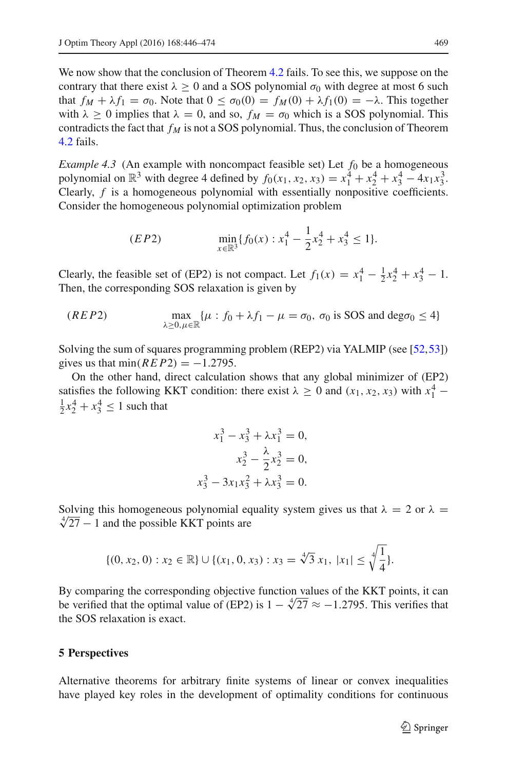We now show that the conclusion of Theorem [4.2](#page-17-0) fails. To see this, we suppose on the contrary that there exist  $\lambda > 0$  and a SOS polynomial  $\sigma_0$  with degree at most 6 such that  $f_M + \lambda f_1 = \sigma_0$ . Note that  $0 \leq \sigma_0(0) = f_M(0) + \lambda f_1(0) = -\lambda$ . This together with  $\lambda \geq 0$  implies that  $\lambda = 0$ , and so,  $f_M = \sigma_0$  which is a SOS polynomial. This contradicts the fact that  $f_M$  is not a SOS polynomial. Thus, the conclusion of Theorem [4.2](#page-17-0) fails.

<span id="page-23-0"></span>*Example 4.3* (An example with noncompact feasible set) Let  $f_0$  be a homogeneous polynomial on  $\mathbb{R}^3$  with degree 4 defined by  $f_0(x_1, x_2, x_3) = x_1^4 + x_2^4 + x_3^4 - 4x_1x_3^3$ . Clearly, *f* is a homogeneous polynomial with essentially nonpositive coefficients. Consider the homogeneous polynomial optimization problem

$$
(EP2) \qquad \min_{x \in \mathbb{R}^3} \{ f_0(x) : x_1^4 - \frac{1}{2} x_2^4 + x_3^4 \le 1 \}.
$$

Clearly, the feasible set of (EP2) is not compact. Let  $f_1(x) = x_1^4 - \frac{1}{2}x_2^4 + x_3^4 - 1$ . Then, the corresponding SOS relaxation is given by

$$
(REF2) \qquad \max_{\lambda \ge 0, \mu \in \mathbb{R}} \{ \mu : f_0 + \lambda f_1 - \mu = \sigma_0, \ \sigma_0 \text{ is SOS and } \deg \sigma_0 \le 4 \}
$$

Solving the sum of squares programming problem (REP2) via YALMIP (see [\[52](#page-28-14)[,53](#page-28-15)]) gives us that  $\min($ *REP*2 $) = -1.2795$ .

On the other hand, direct calculation shows that any global minimizer of (EP2) satisfies the following KKT condition: there exist  $\lambda \ge 0$  and  $(x_1, x_2, x_3)$  with  $x_1^4 - \frac{1}{x}x^4 + x^4 < 1$  such that  $\frac{1}{2}x_2^4 + x_3^4 \le 1$  such that

$$
x_1^3 - x_3^3 + \lambda x_1^3 = 0,
$$
  
\n
$$
x_2^3 - \frac{\lambda}{2} x_2^3 = 0,
$$
  
\n
$$
x_3^3 - 3x_1 x_3^2 + \lambda x_3^3 = 0.
$$

Solving this homogeneous polynomial equality system gives us that  $\lambda = 2$  or  $\lambda = \sqrt[4]{27} - 1$  and the possible KKT points are

$$
\{(0, x_2, 0) : x_2 \in \mathbb{R}\} \cup \{(x_1, 0, x_3) : x_3 = \sqrt[4]{3} x_1, |x_1| \le \sqrt[4]{\frac{1}{4}}\}.
$$

By comparing the corresponding objective function values of the KKT points, it can be verified that the optimal value of (EP2) is  $1 - \sqrt[4]{27} \approx -1.2795$ . This verifies that the SOS relaxation is exact.

## **5 Perspectives**

Alternative theorems for arbitrary finite systems of linear or convex inequalities have played key roles in the development of optimality conditions for continuous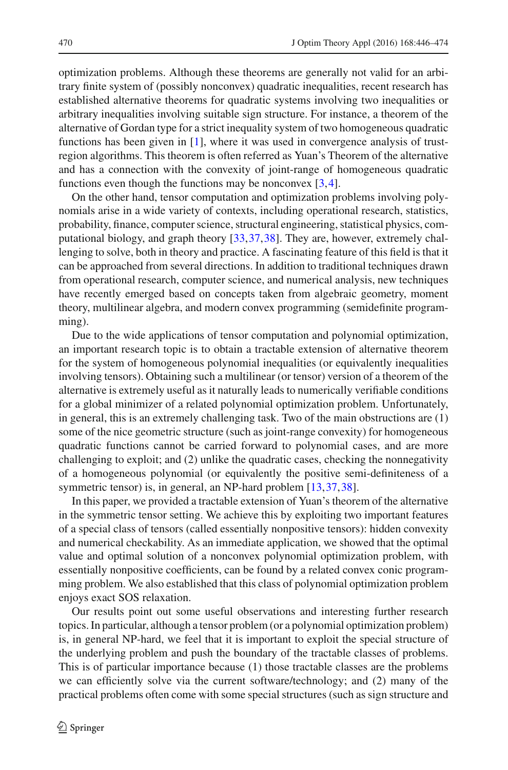optimization problems. Although these theorems are generally not valid for an arbitrary finite system of (possibly nonconvex) quadratic inequalities, recent research has established alternative theorems for quadratic systems involving two inequalities or arbitrary inequalities involving suitable sign structure. For instance, a theorem of the alternative of Gordan type for a strict inequality system of two homogeneous quadratic functions has been given in [\[1\]](#page-26-0), where it was used in convergence analysis of trustregion algorithms. This theorem is often referred as Yuan's Theorem of the alternative and has a connection with the convexity of joint-range of homogeneous quadratic functions even though the functions may be nonconvex  $[3,4]$  $[3,4]$  $[3,4]$ .

On the other hand, tensor computation and optimization problems involving polynomials arise in a wide variety of contexts, including operational research, statistics, probability, finance, computer science, structural engineering, statistical physics, computational biology, and graph theory [\[33](#page-27-19)[,37](#page-28-0),[38\]](#page-28-1). They are, however, extremely challenging to solve, both in theory and practice. A fascinating feature of this field is that it can be approached from several directions. In addition to traditional techniques drawn from operational research, computer science, and numerical analysis, new techniques have recently emerged based on concepts taken from algebraic geometry, moment theory, multilinear algebra, and modern convex programming (semidefinite programming).

Due to the wide applications of tensor computation and polynomial optimization, an important research topic is to obtain a tractable extension of alternative theorem for the system of homogeneous polynomial inequalities (or equivalently inequalities involving tensors). Obtaining such a multilinear (or tensor) version of a theorem of the alternative is extremely useful as it naturally leads to numerically verifiable conditions for a global minimizer of a related polynomial optimization problem. Unfortunately, in general, this is an extremely challenging task. Two of the main obstructions are (1) some of the nice geometric structure (such as joint-range convexity) for homogeneous quadratic functions cannot be carried forward to polynomial cases, and are more challenging to exploit; and (2) unlike the quadratic cases, checking the nonnegativity of a homogeneous polynomial (or equivalently the positive semi-definiteness of a symmetric tensor) is, in general, an NP-hard problem [\[13,](#page-27-4)[37](#page-28-0)[,38](#page-28-1)].

In this paper, we provided a tractable extension of Yuan's theorem of the alternative in the symmetric tensor setting. We achieve this by exploiting two important features of a special class of tensors (called essentially nonpositive tensors): hidden convexity and numerical checkability. As an immediate application, we showed that the optimal value and optimal solution of a nonconvex polynomial optimization problem, with essentially nonpositive coefficients, can be found by a related convex conic programming problem. We also established that this class of polynomial optimization problem enjoys exact SOS relaxation.

Our results point out some useful observations and interesting further research topics. In particular, although a tensor problem (or a polynomial optimization problem) is, in general NP-hard, we feel that it is important to exploit the special structure of the underlying problem and push the boundary of the tractable classes of problems. This is of particular importance because (1) those tractable classes are the problems we can efficiently solve via the current software/technology; and (2) many of the practical problems often come with some special structures (such as sign structure and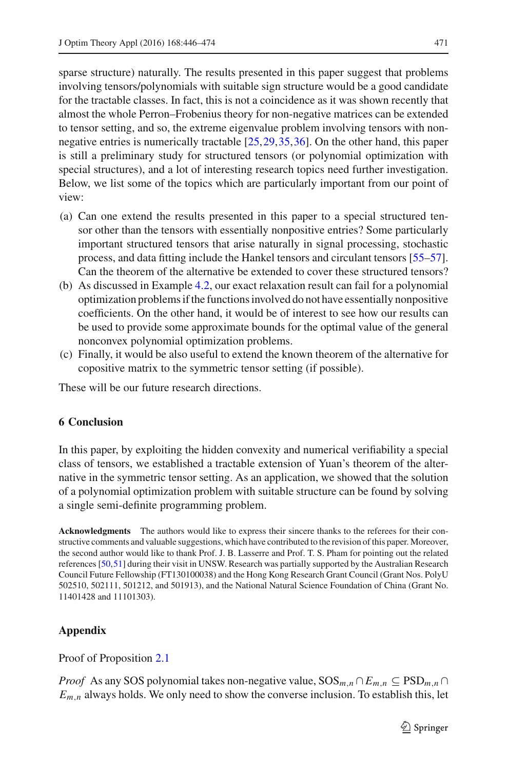sparse structure) naturally. The results presented in this paper suggest that problems involving tensors/polynomials with suitable sign structure would be a good candidate for the tractable classes. In fact, this is not a coincidence as it was shown recently that almost the whole Perron–Frobenius theory for non-negative matrices can be extended to tensor setting, and so, the extreme eigenvalue problem involving tensors with nonnegative entries is numerically tractable [\[25,](#page-27-10)[29](#page-27-14)[,35](#page-27-20)[,36](#page-27-16)]. On the other hand, this paper is still a preliminary study for structured tensors (or polynomial optimization with special structures), and a lot of interesting research topics need further investigation. Below, we list some of the topics which are particularly important from our point of view:

- (a) Can one extend the results presented in this paper to a special structured tensor other than the tensors with essentially nonpositive entries? Some particularly important structured tensors that arise naturally in signal processing, stochastic process, and data fitting include the Hankel tensors and circulant tensors [\[55](#page-28-17)[–57](#page-28-18)]. Can the theorem of the alternative be extended to cover these structured tensors?
- (b) As discussed in Example [4.2,](#page-22-0) our exact relaxation result can fail for a polynomial optimization problems if the functions involved do not have essentially nonpositive coefficients. On the other hand, it would be of interest to see how our results can be used to provide some approximate bounds for the optimal value of the general nonconvex polynomial optimization problems.
- (c) Finally, it would be also useful to extend the known theorem of the alternative for copositive matrix to the symmetric tensor setting (if possible).

These will be our future research directions.

## **6 Conclusion**

In this paper, by exploiting the hidden convexity and numerical verifiability a special class of tensors, we established a tractable extension of Yuan's theorem of the alternative in the symmetric tensor setting. As an application, we showed that the solution of a polynomial optimization problem with suitable structure can be found by solving a single semi-definite programming problem.

**Acknowledgments** The authors would like to express their sincere thanks to the referees for their constructive comments and valuable suggestions, which have contributed to the revision of this paper. Moreover, the second author would like to thank Prof. J. B. Lasserre and Prof. T. S. Pham for pointing out the related references [\[50](#page-28-12)[,51](#page-28-13)] during their visit in UNSW. Research was partially supported by the Australian Research Council Future Fellowship (FT130100038) and the Hong Kong Research Grant Council (Grant Nos. PolyU 502510, 502111, 501212, and 501913), and the National Natural Science Foundation of China (Grant No. 11401428 and 11101303).

# **Appendix**

Proof of Proposition [2.1](#page-5-0)

*Proof* As any SOS polynomial takes non-negative value,  $SOS_{m,n} \cap E_{m,n} \subseteq PSD_{m,n} \cap$  $E_{m,n}$  always holds. We only need to show the converse inclusion. To establish this, let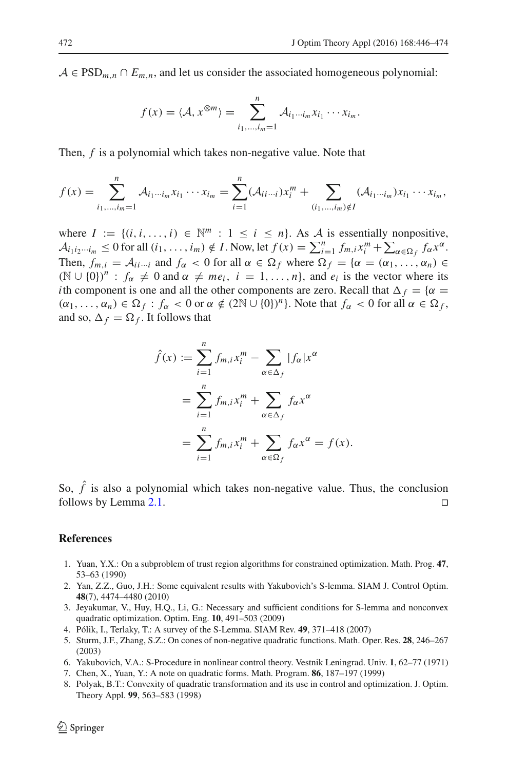$A \in \text{PSD}_{m,n} \cap E_{m,n}$ , and let us consider the associated homogeneous polynomial:

$$
f(x) = \langle A, x^{\otimes m} \rangle = \sum_{i_1, \dots, i_m=1}^n A_{i_1 \cdots i_m} x_{i_1} \cdots x_{i_m}.
$$

Then, *f* is a polynomial which takes non-negative value. Note that

$$
f(x) = \sum_{i_1,\dots,i_m=1}^n \mathcal{A}_{i_1\cdots i_m} x_{i_1} \cdots x_{i_m} = \sum_{i=1}^n (\mathcal{A}_{i_1\cdots i_m}) x_i^m + \sum_{(i_1,\dots,i_m)\notin I} (\mathcal{A}_{i_1\cdots i_m}) x_{i_1} \cdots x_{i_m},
$$

where  $I := \{(i, i, \ldots, i) \in \mathbb{N}^m : 1 \le i \le n\}$ . As *A* is essentially nonpositive,  $A_{i_1 i_2 \cdots i_m} \leq 0$  for all  $(i_1, \ldots, i_m) \notin I$ . Now, let  $f(x) = \sum_{i=1}^n f_{m,i} x_i^m + \sum_{\alpha \in \Omega_f} f_{\alpha} x^{\alpha}$ . Then,  $f_{m,i} = A_{ii \cdots i}$  and  $f_\alpha < 0$  for all  $\alpha \in \Omega_f$  where  $\Omega_f = {\alpha = (\alpha_1, \ldots, \alpha_n) \in \Omega_f}$  $(N \cup \{0\})^n$ :  $f_\alpha \neq 0$  and  $\alpha \neq me_i$ ,  $i = 1, ..., n$ , and  $e_i$  is the vector where its *i*th component is one and all the other components are zero. Recall that  $\Delta_f = \{\alpha =$  $(\alpha_1,\ldots,\alpha_n) \in \Omega_f : f_\alpha < 0$  or  $\alpha \notin (2\mathbb{N} \cup \{0\})^n$ . Note that  $f_\alpha < 0$  for all  $\alpha \in \Omega_f$ , and so,  $\Delta_f = \Omega_f$ . It follows that

$$
\hat{f}(x) := \sum_{i=1}^{n} f_{m,i} x_i^m - \sum_{\alpha \in \Delta_f} |f_{\alpha}| x^{\alpha}
$$

$$
= \sum_{i=1}^{n} f_{m,i} x_i^m + \sum_{\alpha \in \Delta_f} f_{\alpha} x^{\alpha}
$$

$$
= \sum_{i=1}^{n} f_{m,i} x_i^m + \sum_{\alpha \in \Omega_f} f_{\alpha} x^{\alpha} = f(x).
$$

So,  $\hat{f}$  is also a polynomial which takes non-negative value. Thus, the conclusion follows by Lemma [2.1.](#page-5-1)  $\Box$ 

#### <span id="page-26-0"></span>**References**

- 1. Yuan, Y.X.: On a subproblem of trust region algorithms for constrained optimization. Math. Prog. **47**, 53–63 (1990)
- <span id="page-26-1"></span>2. Yan, Z.Z., Guo, J.H.: Some equivalent results with Yakubovich's S-lemma. SIAM J. Control Optim. **48**(7), 4474–4480 (2010)
- <span id="page-26-2"></span>3. Jeyakumar, V., Huy, H.Q., Li, G.: Necessary and sufficient conditions for S-lemma and nonconvex quadratic optimization. Optim. Eng. **10**, 491–503 (2009)
- <span id="page-26-6"></span>4. Pólik, I., Terlaky, T.: A survey of the S-Lemma. SIAM Rev. **49**, 371–418 (2007)
- 5. Sturm, J.F., Zhang, S.Z.: On cones of non-negative quadratic functions. Math. Oper. Res. **28**, 246–267 (2003)
- <span id="page-26-3"></span>6. Yakubovich, V.A.: S-Procedure in nonlinear control theory. Vestnik Leningrad. Univ. **1**, 62–77 (1971)
- <span id="page-26-4"></span>7. Chen, X., Yuan, Y.: A note on quadratic forms. Math. Program. **86**, 187–197 (1999)
- <span id="page-26-5"></span>8. Polyak, B.T.: Convexity of quadratic transformation and its use in control and optimization. J. Optim. Theory Appl. **99**, 563–583 (1998)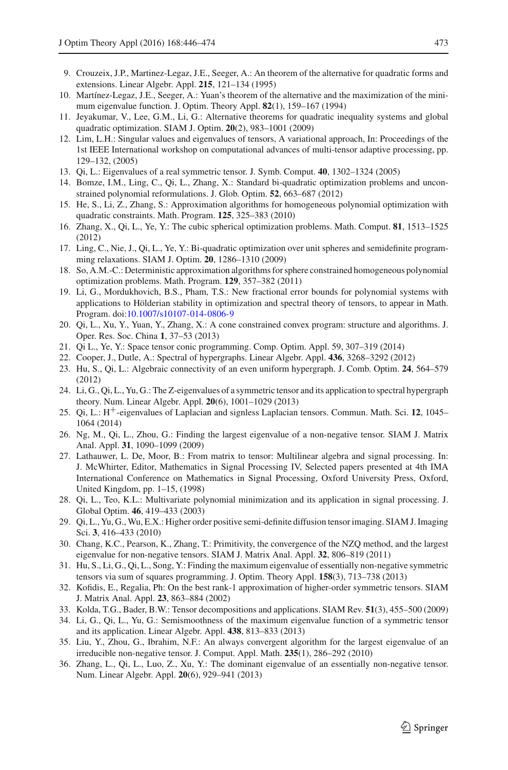- <span id="page-27-0"></span>9. Crouzeix, J.P., Martinez-Legaz, J.E., Seeger, A.: An theorem of the alternative for quadratic forms and extensions. Linear Algebr. Appl. **215**, 121–134 (1995)
- <span id="page-27-1"></span>10. Martínez-Legaz, J.E., Seeger, A.: Yuan's theorem of the alternative and the maximization of the minimum eigenvalue function. J. Optim. Theory Appl. **82**(1), 159–167 (1994)
- <span id="page-27-2"></span>11. Jeyakumar, V., Lee, G.M., Li, G.: Alternative theorems for quadratic inequality systems and global quadratic optimization. SIAM J. Optim. **20**(2), 983–1001 (2009)
- <span id="page-27-3"></span>12. Lim, L.H.: Singular values and eigenvalues of tensors, A variational approach, In: Proceedings of the 1st IEEE International workshop on computational advances of multi-tensor adaptive processing, pp. 129–132, (2005)
- <span id="page-27-4"></span>13. Qi, L.: Eigenvalues of a real symmetric tensor. J. Symb. Comput. **40**, 1302–1324 (2005)
- <span id="page-27-5"></span>14. Bomze, I.M., Ling, C., Qi, L., Zhang, X.: Standard bi-quadratic optimization problems and unconstrained polynomial reformulations. J. Glob. Optim. **52**, 663–687 (2012)
- 15. He, S., Li, Z., Zhang, S.: Approximation algorithms for homogeneous polynomial optimization with quadratic constraints. Math. Program. **125**, 325–383 (2010)
- 16. Zhang, X., Qi, L., Ye, Y.: The cubic spherical optimization problems. Math. Comput. **81**, 1513–1525 (2012)
- 17. Ling, C., Nie, J., Qi, L., Ye, Y.: Bi-quadratic optimization over unit spheres and semidefinite programming relaxations. SIAM J. Optim. **20**, 1286–1310 (2009)
- 18. So, A.M.-C.: Deterministic approximation algorithms for sphere constrained homogeneous polynomial optimization problems. Math. Program. **129**, 357–382 (2011)
- <span id="page-27-6"></span>19. Li, G., Mordukhovich, B.S., Pham, T.S.: New fractional error bounds for polynomial systems with applications to Hölderian stability in optimization and spectral theory of tensors, to appear in Math. Program. doi[:10.1007/s10107-014-0806-9](http://dx.doi.org/10.1007/s10107-014-0806-9)
- <span id="page-27-7"></span>20. Qi, L., Xu, Y., Yuan, Y., Zhang, X.: A cone constrained convex program: structure and algorithms. J. Oper. Res. Soc. China **1**, 37–53 (2013)
- <span id="page-27-9"></span><span id="page-27-8"></span>21. Qi L., Ye, Y.: Space tensor conic programming. Comp. Optim. Appl. 59, 307–319 (2014)
- 22. Cooper, J., Dutle, A.: Spectral of hypergraphs. Linear Algebr. Appl. **436**, 3268–3292 (2012)
- <span id="page-27-18"></span>23. Hu, S., Qi, L.: Algebraic connectivity of an even uniform hypergraph. J. Comb. Optim. **24**, 564–579 (2012)
- 24. Li, G., Qi, L., Yu, G.: The Z-eigenvalues of a symmetric tensor and its application to spectral hypergraph theory. Num. Linear Algebr. Appl. **20**(6), 1001–1029 (2013)
- <span id="page-27-10"></span>25. Qi, L.: H+-eigenvalues of Laplacian and signless Laplacian tensors. Commun. Math. Sci. **12**, 1045– 1064 (2014)
- <span id="page-27-11"></span>26. Ng, M., Qi, L., Zhou, G.: Finding the largest eigenvalue of a non-negative tensor. SIAM J. Matrix Anal. Appl. **31**, 1090–1099 (2009)
- <span id="page-27-12"></span>27. Lathauwer, L. De, Moor, B.: From matrix to tensor: Multilinear algebra and signal processing. In: J. McWhirter, Editor, Mathematics in Signal Processing IV, Selected papers presented at 4th IMA International Conference on Mathematics in Signal Processing, Oxford University Press, Oxford, United Kingdom, pp. 1–15, (1998)
- <span id="page-27-13"></span>28. Qi, L., Teo, K.L.: Multivariate polynomial minimization and its application in signal processing. J. Global Optim. **46**, 419–433 (2003)
- <span id="page-27-14"></span>29. Qi, L., Yu, G., Wu, E.X.: Higher order positive semi-definite diffusion tensor imaging. SIAM J. Imaging Sci. **3**, 416–433 (2010)
- <span id="page-27-15"></span>30. Chang, K.C., Pearson, K., Zhang, T.: Primitivity, the convergence of the NZQ method, and the largest eigenvalue for non-negative tensors. SIAM J. Matrix Anal. Appl. **32**, 806–819 (2011)
- <span id="page-27-17"></span>31. Hu, S., Li, G., Qi, L., Song, Y.: Finding the maximum eigenvalue of essentially non-negative symmetric tensors via sum of squares programming. J. Optim. Theory Appl. **158**(3), 713–738 (2013)
- 32. Kofidis, E., Regalia, Ph: On the best rank-1 approximation of higher-order symmetric tensors. SIAM J. Matrix Anal. Appl. **23**, 863–884 (2002)
- <span id="page-27-19"></span>33. Kolda, T.G., Bader, B.W.: Tensor decompositions and applications. SIAM Rev. **51**(3), 455–500 (2009)
- 34. Li, G., Qi, L., Yu, G.: Semismoothness of the maximum eigenvalue function of a symmetric tensor and its application. Linear Algebr. Appl. **438**, 813–833 (2013)
- <span id="page-27-20"></span>35. Liu, Y., Zhou, G., Ibrahim, N.F.: An always convergent algorithm for the largest eigenvalue of an irreducible non-negative tensor. J. Comput. Appl. Math. **235**(1), 286–292 (2010)
- <span id="page-27-16"></span>36. Zhang, L., Qi, L., Luo, Z., Xu, Y.: The dominant eigenvalue of an essentially non-negative tensor. Num. Linear Algebr. Appl. **20**(6), 929–941 (2013)